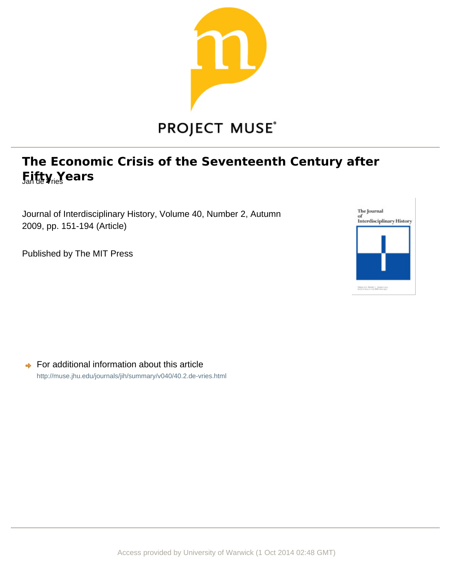

# **PROJECT MUSE®**

# The Economic Crisis of the Seventeenth Century after **Fifty Years**

Journal of Interdisciplinary History, Volume 40, Number 2, Autumn 2009, pp. 151-194 (Article)

Published by The MIT Press



 $\rightarrow$  For additional information about this article <http://muse.jhu.edu/journals/jih/summary/v040/40.2.de-vries.html>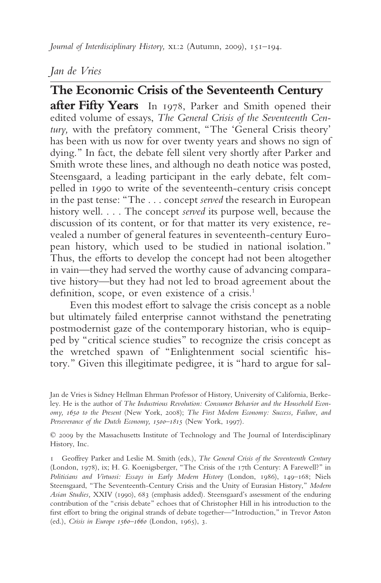# *Jan de Vries*

# **The Economic Crisis of the Seventeenth Century**

**after Fifty Years** In 1978, Parker and Smith opened their edited volume of essays, *The General Crisis of the Seventeenth Century,* with the prefatory comment, "The 'General Crisis theory' has been with us now for over twenty years and shows no sign of dying." In fact, the debate fell silent very shortly after Parker and Smith wrote these lines, and although no death notice was posted, Steensgaard, a leading participant in the early debate, felt compelled in 1990 to write of the seventeenth-century crisis concept in the past tense: "The . . . concept *served* the research in European history well. . . . The concept *served* its purpose well, because the discussion of its content, or for that matter its very existence, revealed a number of general features in seventeenth-century European history, which used to be studied in national isolation." Thus, the efforts to develop the concept had not been altogether in vain—they had served the worthy cause of advancing comparative history—but they had not led to broad agreement about the definition, scope, or even existence of a crisis. $<sup>1</sup>$ </sup>

Even this modest effort to salvage the crisis concept as a noble but ultimately failed enterprise cannot withstand the penetrating postmodernist gaze of the contemporary historian, who is equipped by "critical science studies" to recognize the crisis concept as the wretched spawn of "Enlightenment social scientific history." Given this illegitimate pedigree, it is "hard to argue for sal-

© 2009 by the Massachusetts Institute of Technology and The Journal of Interdisciplinary History, Inc.

1 Geoffrey Parker and Leslie M. Smith (eds.), *The General Crisis of the Seventeenth Century* (London, 1978), ix; H. G. Koenigsberger, "The Crisis of the 17th Century: A Farewell?" in *Politicians and Virtuosi: Essays in Early Modern History* (London, 1986), 149–168; Niels Steensgaard, "The Seventeenth-Century Crisis and the Unity of Eurasian History," *Modern Asian Studies,* XXIV (1990), 683 (emphasis added). Steensgaard's assessment of the enduring contribution of the "crisis debate" echoes that of Christopher Hill in his introduction to the first effort to bring the original strands of debate together—"Introduction," in Trevor Aston (ed.), *Crisis in Europe 1560–1660* (London, 1965), 3.

Jan de Vries is Sidney Hellman Ehrman Professor of History, University of California, Berkeley. He is the author of *The Industrious Revolution: Consumer Behavior and the Household Economy, 1650 to the Present* (New York, 2008); *The First Modern Economy: Success, Failure, and Perseverance of the Dutch Economy, 1500–1815* (New York, 1997).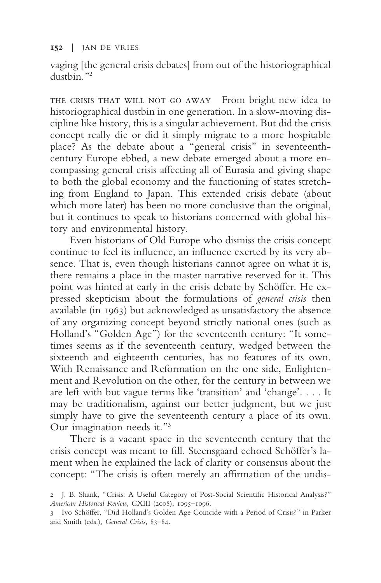vaging [the general crisis debates] from out of the historiographical  $\frac{1}{\text{dustbin}}$ .

the crisis that will not go away From bright new idea to historiographical dustbin in one generation. In a slow-moving discipline like history, this is a singular achievement. But did the crisis concept really die or did it simply migrate to a more hospitable place? As the debate about a "general crisis" in seventeenthcentury Europe ebbed, a new debate emerged about a more encompassing general crisis affecting all of Eurasia and giving shape to both the global economy and the functioning of states stretching from England to Japan. This extended crisis debate (about which more later) has been no more conclusive than the original, but it continues to speak to historians concerned with global history and environmental history.

Even historians of Old Europe who dismiss the crisis concept continue to feel its influence, an influence exerted by its very  $a\overline{b}$ sence. That is, even though historians cannot agree on what it is, there remains a place in the master narrative reserved for it. This point was hinted at early in the crisis debate by Schöffer. He expressed skepticism about the formulations of *general crisis* then available (in 1963) but acknowledged as unsatisfactory the absence of any organizing concept beyond strictly national ones (such as Holland's "Golden Age") for the seventeenth century: "It sometimes seems as if the seventeenth century, wedged between the sixteenth and eighteenth centuries, has no features of its own. With Renaissance and Reformation on the one side, Enlightenment and Revolution on the other, for the century in between we are left with but vague terms like 'transition' and 'change'. . . . It may be traditionalism, against our better judgment, but we just simply have to give the seventeenth century a place of its own. Our imagination needs it."<sup>3</sup>

There is a vacant space in the seventeenth century that the crisis concept was meant to fill. Steensgaard echoed Schöffer's lament when he explained the lack of clarity or consensus about the concept: "The crisis is often merely an affirmation of the undis-

<sup>2</sup> J. B. Shank, "Crisis: A Useful Category of Post-Social Scientific Historical Analysis?" *American Historical Review,* CXIII (2008), 1095–1096.

<sup>3</sup> Ivo Schöffer, "Did Holland's Golden Age Coincide with a Period of Crisis?" in Parker and Smith (eds.), *General Crisis,* 83–84.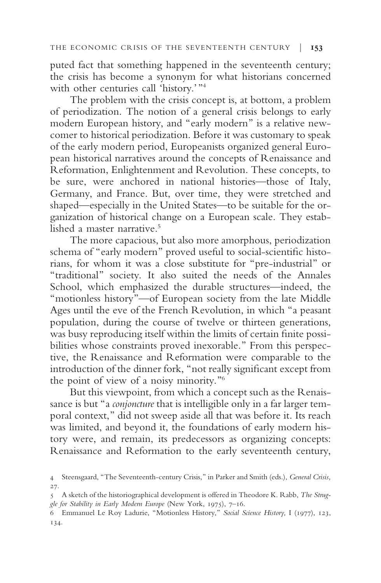puted fact that something happened in the seventeenth century; the crisis has become a synonym for what historians concerned with other centuries call 'history.'"<sup>4</sup>

The problem with the crisis concept is, at bottom, a problem of periodization. The notion of a general crisis belongs to early modern European history, and "early modern" is a relative newcomer to historical periodization. Before it was customary to speak of the early modern period, Europeanists organized general European historical narratives around the concepts of Renaissance and Reformation, Enlightenment and Revolution. These concepts, to be sure, were anchored in national histories—those of Italy, Germany, and France. But, over time, they were stretched and shaped—especially in the United States—to be suitable for the organization of historical change on a European scale. They established a master narrative.<sup>5</sup>

The more capacious, but also more amorphous, periodization schema of "early modern" proved useful to social-scientific historians, for whom it was a close substitute for "pre-industrial" or "traditional" society. It also suited the needs of the Annales School, which emphasized the durable structures—indeed, the "motionless history"—of European society from the late Middle Ages until the eve of the French Revolution, in which "a peasant population, during the course of twelve or thirteen generations, was busy reproducing itself within the limits of certain finite possibilities whose constraints proved inexorable." From this perspective, the Renaissance and Reformation were comparable to the introduction of the dinner fork, "not really significant except from the point of view of a noisy minority."<sup>6</sup>

But this viewpoint, from which a concept such as the Renaissance is but "a *conjoncture* that is intelligible only in a far larger temporal context," did not sweep aside all that was before it. Its reach was limited, and beyond it, the foundations of early modern history were, and remain, its predecessors as organizing concepts: Renaissance and Reformation to the early seventeenth century,

<sup>4</sup> Steensgaard, "The Seventeenth-century Crisis," in Parker and Smith (eds.), *General Crisis,* 27.

<sup>5</sup> A sketch of the historiographical development is offered in Theodore K. Rabb, *The Struggle for Stability in Early Modern Europe* (New York, 1975), 7–16.

<sup>6</sup> Emmanuel Le Roy Ladurie, "Motionless History," *Social Science History,* I (1977), 123, 134.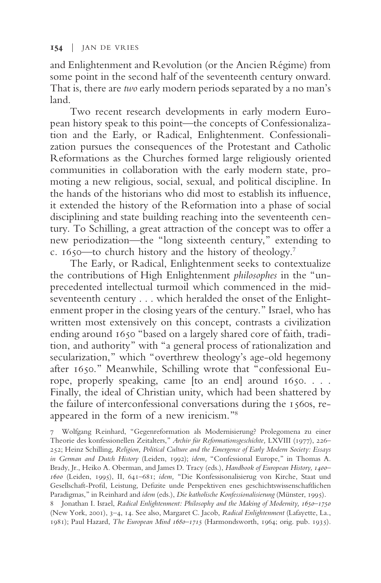and Enlightenment and Revolution (or the Ancien Régime) from some point in the second half of the seventeenth century onward. That is, there are *two* early modern periods separated by a no man's land.

Two recent research developments in early modern European history speak to this point—the concepts of Confessionalization and the Early, or Radical, Enlightenment. Confessionalization pursues the consequences of the Protestant and Catholic Reformations as the Churches formed large religiously oriented communities in collaboration with the early modern state, promoting a new religious, social, sexual, and political discipline. In the hands of the historians who did most to establish its influence, it extended the history of the Reformation into a phase of social disciplining and state building reaching into the seventeenth century. To Schilling, a great attraction of the concept was to offer a new periodization—the "long sixteenth century," extending to c.  $1650$ —to church history and the history of theology.<sup>7</sup>

The Early, or Radical, Enlightenment seeks to contextualize the contributions of High Enlightenment *philosophes* in the "unprecedented intellectual turmoil which commenced in the midseventeenth century . . . which heralded the onset of the Enlightenment proper in the closing years of the century." Israel, who has written most extensively on this concept, contrasts a civilization ending around 1650 "based on a largely shared core of faith, tradition, and authority" with "a general process of rationalization and secularization," which "overthrew theology's age-old hegemony after 1650." Meanwhile, Schilling wrote that "confessional Europe, properly speaking, came [to an end] around 1650. . . . Finally, the ideal of Christian unity, which had been shattered by the failure of interconfessional conversations during the 1560s, reappeared in the form of a new irenicism."<sup>8</sup>

7 Wolfgang Reinhard, "Gegenreformation als Modernisierung? Prolegomena zu einer Theorie des konfessionellen Zeitalters," *Archiv für Reformationsgeschichte,* LXVIII (1977), 226– 252; Heinz Schilling, *Religion, Political Culture and the Emergence of Early Modern Society: Essays in German and Dutch History* (Leiden, 1992); *idem,* "Confessional Europe," in Thomas A. Brady, Jr., Heiko A. Oberman, and James D. Tracy (eds.), *Handbook of European History, 1400– 1600* (Leiden, 1995), II, 641–681; *idem,* "Die Konfessisonalisierug von Kirche, Staat und Gesellschaft-Profil, Leistung, Defizite unde Perspektiven enes geschichtswissenschaftlichen Paradigmas," in Reinhard and *idem* (eds.), *Die katholische Konfessionalisierung* (Münster, 1995).

8 Jonathan I. Israel, *Radical Enlightenment: Philosophy and the Making of Modernity, 1650–1750* (New York, 2001), 3–4, 14. See also, Margaret C. Jacob, *Radical Enlightenment* (Lafayette, La., 1981); Paul Hazard, *The European Mind 1680–1715* (Harmondsworth, 1964; orig. pub. 1935).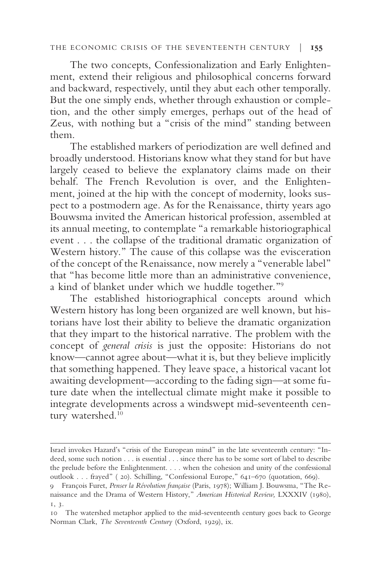The two concepts, Confessionalization and Early Enlightenment, extend their religious and philosophical concerns forward and backward, respectively, until they abut each other temporally. But the one simply ends, whether through exhaustion or completion, and the other simply emerges, perhaps out of the head of Zeus, with nothing but a "crisis of the mind" standing between them.

The established markers of periodization are well defined and broadly understood. Historians know what they stand for but have largely ceased to believe the explanatory claims made on their behalf. The French Revolution is over, and the Enlightenment, joined at the hip with the concept of modernity, looks suspect to a postmodern age. As for the Renaissance, thirty years ago Bouwsma invited the American historical profession, assembled at its annual meeting, to contemplate "a remarkable historiographical event . . . the collapse of the traditional dramatic organization of Western history." The cause of this collapse was the evisceration of the concept of the Renaissance, now merely a "venerable label" that "has become little more than an administrative convenience, a kind of blanket under which we huddle together."<sup>9</sup>

The established historiographical concepts around which Western history has long been organized are well known, but historians have lost their ability to believe the dramatic organization that they impart to the historical narrative. The problem with the concept of *general crisis* is just the opposite: Historians do not know—cannot agree about—what it is, but they believe implicitly that something happened. They leave space, a historical vacant lot awaiting development—according to the fading sign—at some future date when the intellectual climate might make it possible to integrate developments across a windswept mid-seventeenth century watershed.<sup>10</sup>

Israel invokes Hazard's "crisis of the European mind" in the late seventeenth century: "Indeed, some such notion . . . is essential . . . since there has to be some sort of label to describe the prelude before the Enlightenment. . . . when the cohesion and unity of the confessional outlook . . . frayed" ( 20). Schilling, "Confessional Europe," 641–670 (quotation, 669).

<sup>9</sup> François Furet, *Penser la Révolution française* (Paris, 1978); William J. Bouwsma, "The Renaissance and the Drama of Western History," *American Historical Review,* LXXXIV (1980), 1, 3.

<sup>10</sup> The watershed metaphor applied to the mid-seventeenth century goes back to George Norman Clark, *The Seventeenth Century* (Oxford, 1929), ix.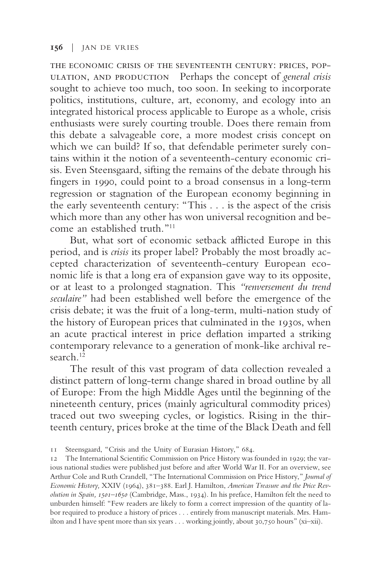the economic crisis of the seventeenth century: prices, population, and production Perhaps the concept of *general crisis* sought to achieve too much, too soon. In seeking to incorporate politics, institutions, culture, art, economy, and ecology into an integrated historical process applicable to Europe as a whole, crisis enthusiasts were surely courting trouble. Does there remain from this debate a salvageable core, a more modest crisis concept on which we can build? If so, that defendable perimeter surely contains within it the notion of a seventeenth-century economic crisis. Even Steensgaard, sifting the remains of the debate through his fingers in 1990, could point to a broad consensus in a long-term regression or stagnation of the European economy beginning in the early seventeenth century: "This . . . is the aspect of the crisis which more than any other has won universal recognition and become an established truth."<sup>11</sup>

But, what sort of economic setback afflicted Europe in this period, and is *crisis* its proper label? Probably the most broadly accepted characterization of seventeenth-century European economic life is that a long era of expansion gave way to its opposite, or at least to a prolonged stagnation. This *"renversement du trend seculaire"* had been established well before the emergence of the crisis debate; it was the fruit of a long-term, multi-nation study of the history of European prices that culminated in the 1930s, when an acute practical interest in price deflation imparted a striking contemporary relevance to a generation of monk-like archival research.<sup>12</sup>

The result of this vast program of data collection revealed a distinct pattern of long-term change shared in broad outline by all of Europe: From the high Middle Ages until the beginning of the nineteenth century, prices (mainly agricultural commodity prices) traced out two sweeping cycles, or logistics. Rising in the thirteenth century, prices broke at the time of the Black Death and fell

<sup>11</sup> Steensgaard, "Crisis and the Unity of Eurasian History," 684.

<sup>12</sup> The International Scientific Commission on Price History was founded in 1929; the various national studies were published just before and after World War II. For an overview, see Arthur Cole and Ruth Crandell, "The International Commission on Price History," *Journal of Economic History,* XXIV (1964), 381–388. Earl J. Hamilton, *American Treasure and the Price Revolution in Spain, 1501–1650* (Cambridge, Mass., 1934). In his preface, Hamilton felt the need to unburden himself: "Few readers are likely to form a correct impression of the quantity of labor required to produce a history of prices... entirely from manuscript materials. Mrs. Hamilton and I have spent more than six years... working jointly, about 30,750 hours" (xi–xii).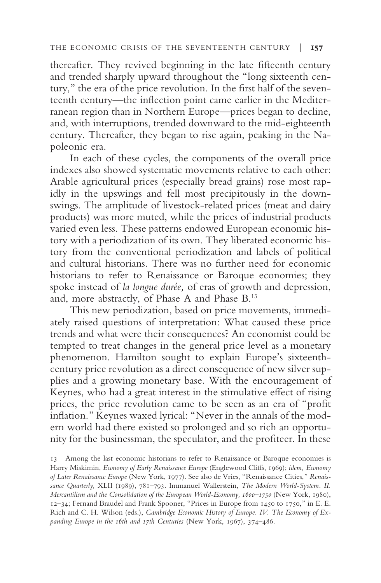thereafter. They revived beginning in the late fifteenth century and trended sharply upward throughout the "long sixteenth century," the era of the price revolution. In the first half of the seventeenth century—the inflection point came earlier in the Mediterranean region than in Northern Europe—prices began to decline, and, with interruptions, trended downward to the mid-eighteenth century. Thereafter, they began to rise again, peaking in the Napoleonic era.

In each of these cycles, the components of the overall price indexes also showed systematic movements relative to each other: Arable agricultural prices (especially bread grains) rose most rapidly in the upswings and fell most precipitously in the downswings. The amplitude of livestock-related prices (meat and dairy products) was more muted, while the prices of industrial products varied even less. These patterns endowed European economic history with a periodization of its own. They liberated economic history from the conventional periodization and labels of political and cultural historians. There was no further need for economic historians to refer to Renaissance or Baroque economies; they spoke instead of *la longue durée,* of eras of growth and depression, and, more abstractly, of Phase A and Phase B.<sup>13</sup>

This new periodization, based on price movements, immediately raised questions of interpretation: What caused these price trends and what were their consequences? An economist could be tempted to treat changes in the general price level as a monetary phenomenon. Hamilton sought to explain Europe's sixteenthcentury price revolution as a direct consequence of new silver supplies and a growing monetary base. With the encouragement of Keynes, who had a great interest in the stimulative effect of rising prices, the price revolution came to be seen as an era of "profit" inflation." Keynes waxed lyrical: "Never in the annals of the modern world had there existed so prolonged and so rich an opportunity for the businessman, the speculator, and the profiteer. In these

13 Among the last economic historians to refer to Renaissance or Baroque economies is Harry Miskimin, *Economy of Early Renaissance Europe* (Englewood Cliffs, 1969); *idem, Economy of Later Renaissance Europe* (New York, 1977). See also de Vries, "Renaissance Cities," *Renaissance Quarterly,* XLII (1989), 781–793. Immanuel Wallerstein, *The Modern World-System. II. Mercantilism and the Consolidation of the European World-Economy, 1600–1750* (New York, 1980), 12–34; Fernand Braudel and Frank Spooner, "Prices in Europe from 1450 to 1750," in E. E. Rich and C. H. Wilson (eds.), *Cambridge Economic History of Europe. IV. The Economy of Expanding Europe in the 16th and 17th Centuries* (New York, 1967), 374–486.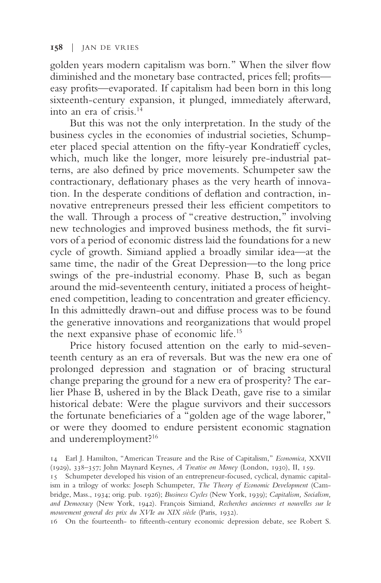golden years modern capitalism was born." When the silver flow diminished and the monetary base contracted, prices fell; profitseasy profits—evaporated. If capitalism had been born in this long sixteenth-century expansion, it plunged, immediately afterward, into an era of crisis.<sup>14</sup>

But this was not the only interpretation. In the study of the business cycles in the economies of industrial societies, Schumpeter placed special attention on the fifty-year Kondratieff cycles, which, much like the longer, more leisurely pre-industrial patterns, are also defined by price movements. Schumpeter saw the contractionary, deflationary phases as the very hearth of innovation. In the desperate conditions of deflation and contraction, innovative entrepreneurs pressed their less efficient competitors to the wall. Through a process of "creative destruction," involving new technologies and improved business methods, the fit survivors of a period of economic distress laid the foundations for a new cycle of growth. Simiand applied a broadly similar idea—at the same time, the nadir of the Great Depression—to the long price swings of the pre-industrial economy. Phase B, such as began around the mid-seventeenth century, initiated a process of heightened competition, leading to concentration and greater efficiency. In this admittedly drawn-out and diffuse process was to be found the generative innovations and reorganizations that would propel the next expansive phase of economic life.<sup>15</sup>

Price history focused attention on the early to mid-seventeenth century as an era of reversals. But was the new era one of prolonged depression and stagnation or of bracing structural change preparing the ground for a new era of prosperity? The earlier Phase B, ushered in by the Black Death, gave rise to a similar historical debate: Were the plague survivors and their successors the fortunate beneficiaries of a "golden age of the wage laborer," or were they doomed to endure persistent economic stagnation and underemployment?<sup>16</sup>

15 Schumpeter developed his vision of an entrepreneur-focused, cyclical, dynamic capitalism in a trilogy of works: Joseph Schumpeter, *The Theory of Economic Development* (Cambridge, Mass., 1934; orig. pub. 1926); *Business Cycles* (New York, 1939); *Capitalism, Socialism, and Democracy* (New York, 1942). François Simiand, *Recherches anciennes et nouvelles sur le mouvement general des prix du XVIe au XIX siècle* (Paris, 1932).

16 On the fourteenth- to fifteenth-century economic depression debate, see Robert S.

<sup>14</sup> Earl J. Hamilton, "American Treasure and the Rise of Capitalism," *Economica,* XXVII (1929), 338–357; John Maynard Keynes, *A Treatise on Money* (London, 1930), II, 159.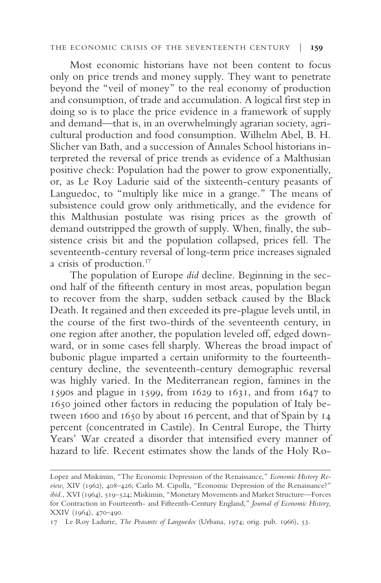#### THE ECONOMIC CRISIS OF THE SEVENTEENTH CENTURY | 159

Most economic historians have not been content to focus only on price trends and money supply. They want to penetrate beyond the "veil of money" to the real economy of production and consumption, of trade and accumulation. A logical first step in doing so is to place the price evidence in a framework of supply and demand—that is, in an overwhelmingly agrarian society, agricultural production and food consumption. Wilhelm Abel, B. H. Slicher van Bath, and a succession of Annales School historians interpreted the reversal of price trends as evidence of a Malthusian positive check: Population had the power to grow exponentially, or, as Le Roy Ladurie said of the sixteenth-century peasants of Languedoc, to "multiply like mice in a grange." The means of subsistence could grow only arithmetically, and the evidence for this Malthusian postulate was rising prices as the growth of demand outstripped the growth of supply. When, finally, the subsistence crisis bit and the population collapsed, prices fell. The seventeenth-century reversal of long-term price increases signaled a crisis of production.<sup>17</sup>

The population of Europe *did* decline. Beginning in the second half of the fifteenth century in most areas, population began to recover from the sharp, sudden setback caused by the Black Death. It regained and then exceeded its pre-plague levels until, in the course of the first two-thirds of the seventeenth century, in one region after another, the population leveled off, edged downward, or in some cases fell sharply. Whereas the broad impact of bubonic plague imparted a certain uniformity to the fourteenthcentury decline, the seventeenth-century demographic reversal was highly varied. In the Mediterranean region, famines in the 1590s and plague in 1599, from 1629 to 1631, and from 1647 to 1650 joined other factors in reducing the population of Italy between 1600 and 1650 by about 16 percent, and that of Spain by 14 percent (concentrated in Castile). In Central Europe, the Thirty Years' War created a disorder that intensified every manner of hazard to life. Recent estimates show the lands of the Holy Ro-

Lopez and Miskimin, "The Economic Depression of the Renaissance," *Economic History Review,* XIV (1962), 408–426; Carlo M. Cipolla, "Economic Depression of the Renaissance?" *ibid.,* XVI (1964), 519–524; Miskimin, "Monetary Movements and Market Structure—Forces for Contraction in Fourteenth- and Fifteenth-Century England," *Journal of Economic History,* XXIV (1964), 470–490.

<sup>17</sup> Le Roy Ladurie, *The Peasants of Languedoc* (Urbana, 1974; orig. pub. 1966), 53.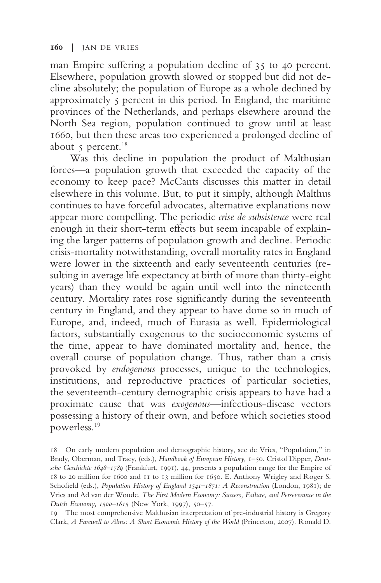man Empire suffering a population decline of 35 to 40 percent. Elsewhere, population growth slowed or stopped but did not decline absolutely; the population of Europe as a whole declined by approximately 5 percent in this period. In England, the maritime provinces of the Netherlands, and perhaps elsewhere around the North Sea region, population continued to grow until at least 1660, but then these areas too experienced a prolonged decline of about  $\varsigma$  percent.<sup>18</sup>

Was this decline in population the product of Malthusian forces—a population growth that exceeded the capacity of the economy to keep pace? McCants discusses this matter in detail elsewhere in this volume. But, to put it simply, although Malthus continues to have forceful advocates, alternative explanations now appear more compelling. The periodic *crise de subsistence* were real enough in their short-term effects but seem incapable of explaining the larger patterns of population growth and decline. Periodic crisis-mortality notwithstanding, overall mortality rates in England were lower in the sixteenth and early seventeenth centuries (resulting in average life expectancy at birth of more than thirty-eight years) than they would be again until well into the nineteenth century. Mortality rates rose significantly during the seventeenth century in England, and they appear to have done so in much of Europe, and, indeed, much of Eurasia as well. Epidemiological factors, substantially exogenous to the socioeconomic systems of the time, appear to have dominated mortality and, hence, the overall course of population change. Thus, rather than a crisis provoked by *endogenous* processes, unique to the technologies, institutions, and reproductive practices of particular societies, the seventeenth-century demographic crisis appears to have had a proximate cause that was *exogenous*—infectious-disease vectors possessing a history of their own, and before which societies stood powerless.<sup>19</sup>

19 The most comprehensive Malthusian interpretation of pre-industrial history is Gregory Clark, *A Farewell to Alms: A Short Economic History of the World* (Princeton, 2007). Ronald D.

<sup>18</sup> On early modern population and demographic history, see de Vries, "Population," in Brady, Oberman, and Tracy, (eds.), *Handbook of European History,* 1–50. Cristof Dipper, *Deutsche Geschichte 1648–1789* (Frankfurt, 1991), 44, presents a population range for the Empire of 18 to 20 million for 1600 and 11 to 13 million for 1650. E. Anthony Wrigley and Roger S. Schofield (eds.), *Population History of England 1541–1871: A Reconstruction* (London, 1981); de Vries and Ad van der Woude, *The First Modern Economy: Success, Failure, and Perseverance in the Dutch Economy, 1500–1815* (New York, 1997), 50–57.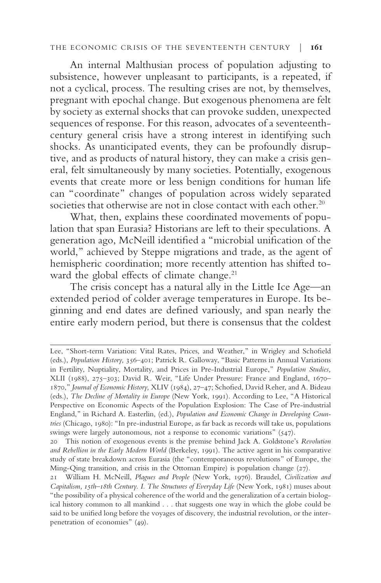#### THE ECONOMIC CRISIS OF THE SEVENTEENTH CENTURY | 161

An internal Malthusian process of population adjusting to subsistence, however unpleasant to participants, is a repeated, if not a cyclical, process. The resulting crises are not, by themselves, pregnant with epochal change. But exogenous phenomena are felt by society as external shocks that can provoke sudden, unexpected sequences of response. For this reason, advocates of a seventeenthcentury general crisis have a strong interest in identifying such shocks. As unanticipated events, they can be profoundly disruptive, and as products of natural history, they can make a crisis general, felt simultaneously by many societies. Potentially, exogenous events that create more or less benign conditions for human life can "coordinate" changes of population across widely separated societies that otherwise are not in close contact with each other.<sup>20</sup>

What, then, explains these coordinated movements of population that span Eurasia? Historians are left to their speculations. A generation ago, McNeill identified a "microbial unification of the world," achieved by Steppe migrations and trade, as the agent of hemispheric coordination; more recently attention has shifted toward the global effects of climate change.<sup>21</sup>

The crisis concept has a natural ally in the Little Ice Age—an extended period of colder average temperatures in Europe. Its beginning and end dates are defined variously, and span nearly the entire early modern period, but there is consensus that the coldest

Lee, "Short-term Variation: Vital Rates, Prices, and Weather," in Wrigley and Schofield (eds.), *Population History,* 356–401; Patrick R. Galloway, "Basic Patterns in Annual Variations in Fertility, Nuptiality, Mortality, and Prices in Pre-Industrial Europe," *Population Studies,* XLII (1988), 275–303; David R. Weir, "Life Under Pressure: France and England, 1670– 1870," Journal of Economic History, XLIV (1984), 27-47; Schofied, David Reher, and A. Bideau (eds.), *The Decline of Mortality in Europe* (New York, 1991). According to Lee, "A Historical Perspective on Economic Aspects of the Population Explosion: The Case of Pre-industrial England," in Richard A. Easterlin, (ed.), *Population and Economic Change in Developing Countries* (Chicago, 1980): "In pre-industrial Europe, as far back as records will take us, populations swings were largely autonomous, not a response to economic variations" (547).

<sup>20</sup> This notion of exogenous events is the premise behind Jack A. Goldstone's *Revolution and Rebellion in the Early Modern World* (Berkeley, 1991). The active agent in his comparative study of state breakdown across Eurasia (the "contemporaneous revolutions" of Europe, the Ming-Qing transition, and crisis in the Ottoman Empire) is population change (27).

<sup>21</sup> William H. McNeill, *Plagues and People* (New York, 1976). Braudel, *Civilization and Capitalism, 15th–18th Century. I. The Structures of Everyday Life* (New York, 1981) muses about "the possibility of a physical coherence of the world and the generalization of a certain biological history common to all mankind . . . that suggests one way in which the globe could be said to be unified long before the voyages of discovery, the industrial revolution, or the interpenetration of economies" (49).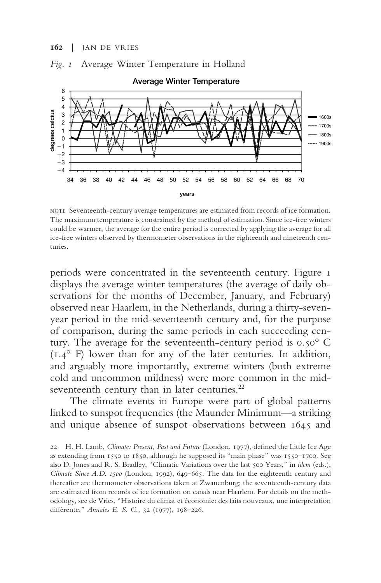#### **162** | JAN DE VRIES





#### **Average Winter Temperature**

note Seventeenth-century average temperatures are estimated from records of ice formation. The maximum temperature is constrained by the method of estimation. Since ice-free winters could be warmer, the average for the entire period is corrected by applying the average for all ice-free winters observed by thermometer observations in the eighteenth and nineteenth centuries.

periods were concentrated in the seventeenth century. Figure 1 displays the average winter temperatures (the average of daily observations for the months of December, January, and February) observed near Haarlem, in the Netherlands, during a thirty-sevenyear period in the mid-seventeenth century and, for the purpose of comparison, during the same periods in each succeeding century. The average for the seventeenth-century period is 0.50° C (1.4° F) lower than for any of the later centuries. In addition, and arguably more importantly, extreme winters (both extreme cold and uncommon mildness) were more common in the midseventeenth century than in later centuries.<sup>22</sup>

The climate events in Europe were part of global patterns linked to sunspot frequencies (the Maunder Minimum—a striking and unique absence of sunspot observations between 1645 and

22 H. H. Lamb, *Climate: Present, Past and Future* (London, 1977), defined the Little Ice Age as extending from 1550 to 1850, although he supposed its "main phase" was 1550–1700. See also D. Jones and R. S. Bradley, "Climatic Variations over the last 500 Years," in *idem* (eds.), *Climate Since A.D. 1500* (London, 1992), 649–665. The data for the eighteenth century and thereafter are thermometer observations taken at Zwanenburg; the seventeenth-century data are estimated from records of ice formation on canals near Haarlem. For details on the methodology, see de Vries, "Histoire du climat et économie: des faits nouveaux, une interpretation différente," *Annales E. S. C.,* 32 (1977), 198–226.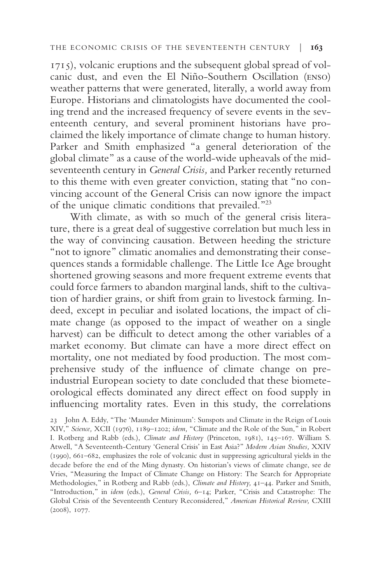1715), volcanic eruptions and the subsequent global spread of volcanic dust, and even the El Niño-Southern Oscillation (enso) weather patterns that were generated, literally, a world away from Europe. Historians and climatologists have documented the cooling trend and the increased frequency of severe events in the seventeenth century, and several prominent historians have proclaimed the likely importance of climate change to human history. Parker and Smith emphasized "a general deterioration of the global climate" as a cause of the world-wide upheavals of the midseventeenth century in *General Crisis,* and Parker recently returned to this theme with even greater conviction, stating that "no convincing account of the General Crisis can now ignore the impact of the unique climatic conditions that prevailed."<sup>23</sup>

With climate, as with so much of the general crisis literature, there is a great deal of suggestive correlation but much less in the way of convincing causation. Between heeding the stricture "not to ignore" climatic anomalies and demonstrating their consequences stands a formidable challenge. The Little Ice Age brought shortened growing seasons and more frequent extreme events that could force farmers to abandon marginal lands, shift to the cultivation of hardier grains, or shift from grain to livestock farming. Indeed, except in peculiar and isolated locations, the impact of climate change (as opposed to the impact of weather on a single harvest) can be difficult to detect among the other variables of a market economy. But climate can have a more direct effect on mortality, one not mediated by food production. The most comprehensive study of the influence of climate change on preindustrial European society to date concluded that these biometeorological effects dominated any direct effect on food supply in influencing mortality rates. Even in this study, the correlations

<sup>23</sup> John A. Eddy, "The 'Maunder Minimum': Sunspots and Climate in the Reign of Louis XIV," *Science,* XCII (1976), 1189–1202; *idem,* "Climate and the Role of the Sun," in Robert I. Rotberg and Rabb (eds.), *Climate and History* (Princeton, 1981), 145–167. William S. Atwell, "A Seventeenth-Century 'General Crisis' in East Asia?" *Modern Asian Studies,* XXIV (1990), 661–682, emphasizes the role of volcanic dust in suppressing agricultural yields in the decade before the end of the Ming dynasty. On historian's views of climate change, see de Vries, "Measuring the Impact of Climate Change on History: The Search for Appropriate Methodologies," in Rotberg and Rabb (eds.), *Climate and History,* 41–44. Parker and Smith, "Introduction," in *idem* (eds.), *General Crisis,* 6–14; Parker, "Crisis and Catastrophe: The Global Crisis of the Seventeenth Century Reconsidered," *American Historical Review,* CXIII (2008), 1077.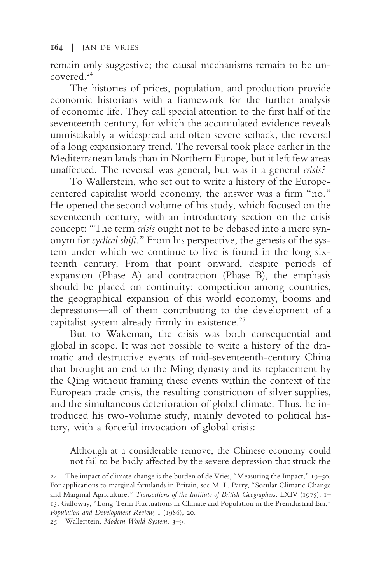remain only suggestive; the causal mechanisms remain to be uncovered.<sup>24</sup>

The histories of prices, population, and production provide economic historians with a framework for the further analysis of economic life. They call special attention to the first half of the seventeenth century, for which the accumulated evidence reveals unmistakably a widespread and often severe setback, the reversal of a long expansionary trend. The reversal took place earlier in the Mediterranean lands than in Northern Europe, but it left few areas unaffected. The reversal was general, but was it a general *crisis?*

To Wallerstein, who set out to write a history of the Europecentered capitalist world economy, the answer was a firm "no." He opened the second volume of his study, which focused on the seventeenth century, with an introductory section on the crisis concept: "The term *crisis* ought not to be debased into a mere synonym for *cyclical shift.*" From his perspective, the genesis of the system under which we continue to live is found in the long sixteenth century. From that point onward, despite periods of expansion (Phase A) and contraction (Phase B), the emphasis should be placed on continuity: competition among countries, the geographical expansion of this world economy, booms and depressions—all of them contributing to the development of a capitalist system already firmly in existence.<sup>25</sup>

But to Wakeman, the crisis was both consequential and global in scope. It was not possible to write a history of the dramatic and destructive events of mid-seventeenth-century China that brought an end to the Ming dynasty and its replacement by the Qing without framing these events within the context of the European trade crisis, the resulting constriction of silver supplies, and the simultaneous deterioration of global climate. Thus, he introduced his two-volume study, mainly devoted to political history, with a forceful invocation of global crisis:

Although at a considerable remove, the Chinese economy could not fail to be badly affected by the severe depression that struck the

<sup>24</sup> The impact of climate change is the burden of de Vries, "Measuring the Impact," 19–50. For applications to marginal farmlands in Britain, see M. L. Parry, "Secular Climatic Change and Marginal Agriculture," *Transactions of the Institute of British Geographers,* LXIV (1975), 1– 13. Galloway, "Long-Term Fluctuations in Climate and Population in the Preindustrial Era," *Population and Development Review,* I (1986), 20.

<sup>25</sup> Wallerstein, *Modern World-System,* 3–9.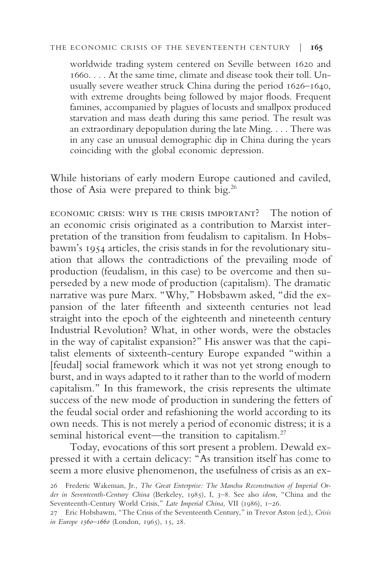worldwide trading system centered on Seville between 1620 and 1660. . . . At the same time, climate and disease took their toll. Unusually severe weather struck China during the period 1626–1640, with extreme droughts being followed by major floods. Frequent famines, accompanied by plagues of locusts and smallpox produced starvation and mass death during this same period. The result was an extraordinary depopulation during the late Ming.... There was in any case an unusual demographic dip in China during the years coinciding with the global economic depression.

While historians of early modern Europe cautioned and caviled, those of Asia were prepared to think big.<sup>26</sup>

economic crisis: why is the crisis important? The notion of an economic crisis originated as a contribution to Marxist interpretation of the transition from feudalism to capitalism. In Hobsbawm's 1954 articles, the crisis stands in for the revolutionary situation that allows the contradictions of the prevailing mode of production (feudalism, in this case) to be overcome and then superseded by a new mode of production (capitalism). The dramatic narrative was pure Marx. "Why," Hobsbawm asked, "did the expansion of the later fifteenth and sixteenth centuries not lead straight into the epoch of the eighteenth and nineteenth century Industrial Revolution? What, in other words, were the obstacles in the way of capitalist expansion?" His answer was that the capitalist elements of sixteenth-century Europe expanded "within a [feudal] social framework which it was not yet strong enough to burst, and in ways adapted to it rather than to the world of modern capitalism." In this framework, the crisis represents the ultimate success of the new mode of production in sundering the fetters of the feudal social order and refashioning the world according to its own needs. This is not merely a period of economic distress; it is a seminal historical event—the transition to capitalism.<sup>27</sup>

Today, evocations of this sort present a problem. Dewald expressed it with a certain delicacy: "As transition itself has come to seem a more elusive phenomenon, the usefulness of crisis as an ex-

<sup>26</sup> Frederic Wakeman, Jr., *The Great Enterprise: The Manchu Reconstruction of Imperial Order in Seventeenth-Century China* (Berkeley, 1985), I, 3–8. See also *idem,* "China and the Seventeenth-Century World Crisis," *Late Imperial China,* VII (1986), 1–26.

<sup>27</sup> Eric Hobsbawm, "The Crisis of the Seventeenth Century," in Trevor Aston (ed.), *Crisis in Europe 1560–1660* (London, 1965), 15, 28.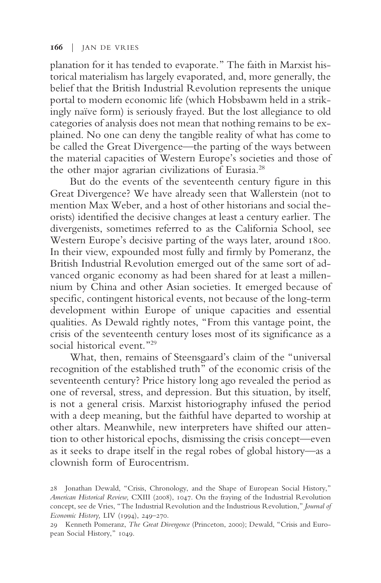planation for it has tended to evaporate." The faith in Marxist historical materialism has largely evaporated, and, more generally, the belief that the British Industrial Revolution represents the unique portal to modern economic life (which Hobsbawm held in a strikingly naïve form) is seriously frayed. But the lost allegiance to old categories of analysis does not mean that nothing remains to be explained. No one can deny the tangible reality of what has come to be called the Great Divergence—the parting of the ways between the material capacities of Western Europe's societies and those of the other major agrarian civilizations of Eurasia.<sup>28</sup>

But do the events of the seventeenth century figure in this Great Divergence? We have already seen that Wallerstein (not to mention Max Weber, and a host of other historians and social theorists) identified the decisive changes at least a century earlier. The divergenists, sometimes referred to as the California School, see Western Europe's decisive parting of the ways later, around 1800. In their view, expounded most fully and firmly by Pomeranz, the British Industrial Revolution emerged out of the same sort of advanced organic economy as had been shared for at least a millennium by China and other Asian societies. It emerged because of specific, contingent historical events, not because of the long-term development within Europe of unique capacities and essential qualities. As Dewald rightly notes, "From this vantage point, the crisis of the seventeenth century loses most of its significance as a social historical event."<sup>29</sup>

What, then, remains of Steensgaard's claim of the "universal recognition of the established truth" of the economic crisis of the seventeenth century? Price history long ago revealed the period as one of reversal, stress, and depression. But this situation, by itself, is not a general crisis. Marxist historiography infused the period with a deep meaning, but the faithful have departed to worship at other altars. Meanwhile, new interpreters have shifted our attention to other historical epochs, dismissing the crisis concept—even as it seeks to drape itself in the regal robes of global history—as a clownish form of Eurocentrism.

<sup>28</sup> Jonathan Dewald, "Crisis, Chronology, and the Shape of European Social History," *American Historical Review,* CXIII (2008), 1047. On the fraying of the Industrial Revolution concept, see de Vries, "The Industrial Revolution and the Industrious Revolution," *Journal of Economic History,* LIV (1994), 249–270.

<sup>29</sup> Kenneth Pomeranz, *The Great Divergence* (Princeton, 2000); Dewald, "Crisis and European Social History," 1049.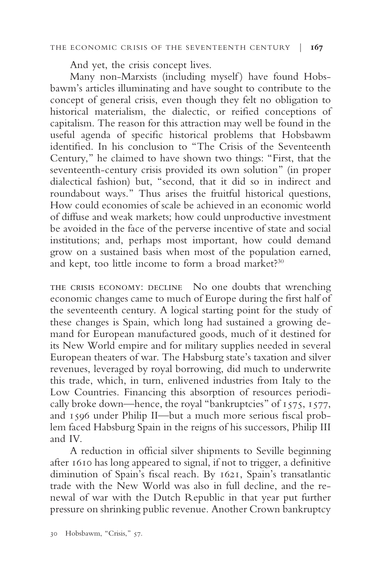### THE ECONOMIC CRISIS OF THE SEVENTEENTH CENTURY | 167

And yet, the crisis concept lives.

Many non-Marxists (including myself) have found Hobsbawm's articles illuminating and have sought to contribute to the concept of general crisis, even though they felt no obligation to historical materialism, the dialectic, or reified conceptions of capitalism. The reason for this attraction may well be found in the useful agenda of specific historical problems that Hobsbawm identified. In his conclusion to "The Crisis of the Seventeenth Century," he claimed to have shown two things: "First, that the seventeenth-century crisis provided its own solution" (in proper dialectical fashion) but, "second, that it did so in indirect and roundabout ways." Thus arises the fruitful historical questions, How could economies of scale be achieved in an economic world of diffuse and weak markets; how could unproductive investment be avoided in the face of the perverse incentive of state and social institutions; and, perhaps most important, how could demand grow on a sustained basis when most of the population earned, and kept, too little income to form a broad market?<sup>30</sup>

THE CRISIS ECONOMY: DECLINE No one doubts that wrenching economic changes came to much of Europe during the first half of the seventeenth century. A logical starting point for the study of these changes is Spain, which long had sustained a growing demand for European manufactured goods, much of it destined for its New World empire and for military supplies needed in several European theaters of war. The Habsburg state's taxation and silver revenues, leveraged by royal borrowing, did much to underwrite this trade, which, in turn, enlivened industries from Italy to the Low Countries. Financing this absorption of resources periodically broke down—hence, the royal "bankruptcies" of 1575, 1577, and 1596 under Philip II—but a much more serious fiscal problem faced Habsburg Spain in the reigns of his successors, Philip III and IV.

A reduction in official silver shipments to Seville beginning after 1610 has long appeared to signal, if not to trigger, a definitive diminution of Spain's fiscal reach. By 1621, Spain's transatlantic trade with the New World was also in full decline, and the renewal of war with the Dutch Republic in that year put further pressure on shrinking public revenue. Another Crown bankruptcy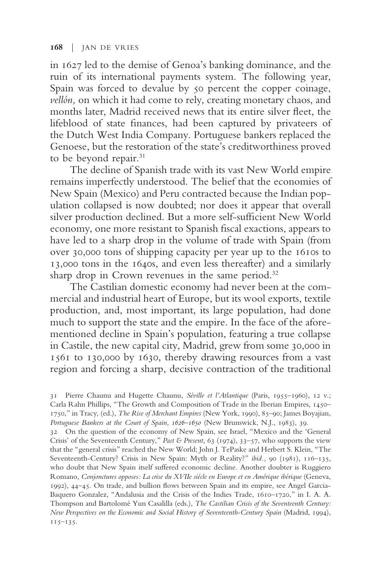in 1627 led to the demise of Genoa's banking dominance, and the ruin of its international payments system. The following year, Spain was forced to devalue by 50 percent the copper coinage, *vellón,* on which it had come to rely, creating monetary chaos, and months later, Madrid received news that its entire silver fleet, the lifeblood of state finances, had been captured by privateers of the Dutch West India Company. Portuguese bankers replaced the Genoese, but the restoration of the state's creditworthiness proved to be beyond repair.<sup>31</sup>

The decline of Spanish trade with its vast New World empire remains imperfectly understood. The belief that the economies of New Spain (Mexico) and Peru contracted because the Indian population collapsed is now doubted; nor does it appear that overall silver production declined. But a more self-sufficient New World economy, one more resistant to Spanish fiscal exactions, appears to have led to a sharp drop in the volume of trade with Spain (from over 30,000 tons of shipping capacity per year up to the 1610s to 13,000 tons in the 1640s, and even less thereafter) and a similarly sharp drop in Crown revenues in the same period.<sup>32</sup>

The Castilian domestic economy had never been at the commercial and industrial heart of Europe, but its wool exports, textile production, and, most important, its large population, had done much to support the state and the empire. In the face of the aforementioned decline in Spain's population, featuring a true collapse in Castile, the new capital city, Madrid, grew from some 30,000 in 1561 to 130,000 by 1630, thereby drawing resources from a vast region and forcing a sharp, decisive contraction of the traditional

32 On the question of the economy of New Spain, see Israel, "Mexico and the 'General Crisis' of the Seventeenth Century," *Past & Present,* 63 (1974), 33–57, who supports the view that the "general crisis" reached the New World; John J. TePaske and Herbert S. Klein, "The Seventeenth-Century? Crisis in New Spain: Myth or Reality?" *ibid.,* 90 (1981), 116–135, who doubt that New Spain itself suffered economic decline. Another doubter is Ruggiero Romano, *Conjonctures opposes: La crise du XVIIe siécle en Europe et en Amérique ibérique* (Geneva, 1992), 44-45. On trade, and bullion flows between Spain and its empire, see Angel Garcia-Baquero Gonzalez, "Andalusia and the Crisis of the Indies Trade, 1610–1720," in I. A. A. Thompson and Bartolomé Yun Casalilla (eds.), *The Castilian Crisis of the Seventeenth Century: New Perspectives on the Economic and Social History of Seventeenth-Century Spain* (Madrid, 1994), 115–135.

<sup>31</sup> Pierre Chaunu and Hugette Chaunu, *Séville et l'Atlantique* (Paris, 1955–1960), 12 v.; Carla Rahn Phillips, "The Growth and Composition of Trade in the Iberian Empires, 1450– 1750," in Tracy, (ed.), *The Rise of Merchant Empires* (New York, 1990), 85–90; James Boyajian, *Portuguese Bankers at the Court of Spain, 1626–1650* (New Brunswick, N.J., 1983), 39.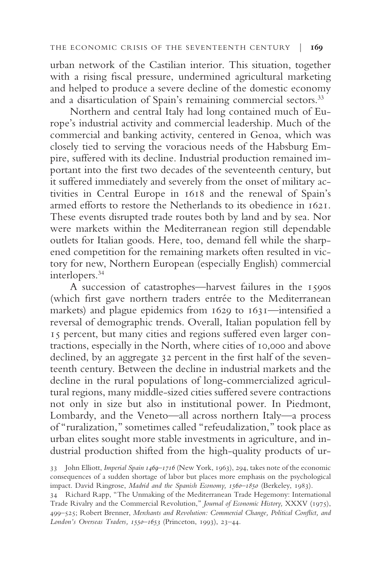urban network of the Castilian interior. This situation, together with a rising fiscal pressure, undermined agricultural marketing and helped to produce a severe decline of the domestic economy and a disarticulation of Spain's remaining commercial sectors.<sup>33</sup>

Northern and central Italy had long contained much of Europe's industrial activity and commercial leadership. Much of the commercial and banking activity, centered in Genoa, which was closely tied to serving the voracious needs of the Habsburg Empire, suffered with its decline. Industrial production remained important into the first two decades of the seventeenth century, but it suffered immediately and severely from the onset of military activities in Central Europe in 1618 and the renewal of Spain's armed efforts to restore the Netherlands to its obedience in 1621. These events disrupted trade routes both by land and by sea. Nor were markets within the Mediterranean region still dependable outlets for Italian goods. Here, too, demand fell while the sharpened competition for the remaining markets often resulted in victory for new, Northern European (especially English) commercial interlopers.<sup>34</sup>

A succession of catastrophes—harvest failures in the 1590s (which first gave northern traders entrée to the Mediterranean markets) and plague epidemics from  $1629$  to  $1631$ —intensified a reversal of demographic trends. Overall, Italian population fell by 15 percent, but many cities and regions suffered even larger contractions, especially in the North, where cities of 10,000 and above declined, by an aggregate 32 percent in the first half of the seventeenth century. Between the decline in industrial markets and the decline in the rural populations of long-commercialized agricultural regions, many middle-sized cities suffered severe contractions not only in size but also in institutional power. In Piedmont, Lombardy, and the Veneto—all across northern Italy—a process of "ruralization," sometimes called "refeudalization," took place as urban elites sought more stable investments in agriculture, and industrial production shifted from the high-quality products of ur-

<sup>33</sup> John Elliott, *Imperial Spain 1469–1716* (New York, 1963), 294, takes note of the economic consequences of a sudden shortage of labor but places more emphasis on the psychological impact. David Ringrose, *Madrid and the Spanish Economy, 1560–1850* (Berkeley, 1983).

<sup>34</sup> Richard Rapp, "The Unmaking of the Mediterranean Trade Hegemony: International Trade Rivalry and the Commercial Revolution," *Journal of Economic History,* XXXV (1975), 499–525; Robert Brenner, *Merchants and Revolution: Commercial Change*, *Political Conflict*, and *London's Overseas Traders, 1550–1653* (Princeton, 1993), 23–44.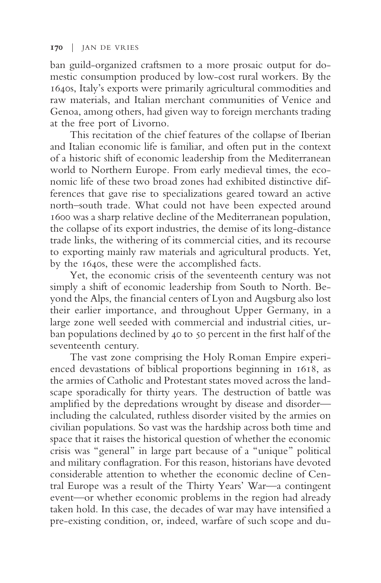#### **170** | JAN DE VRIES

ban guild-organized craftsmen to a more prosaic output for domestic consumption produced by low-cost rural workers. By the 1640s, Italy's exports were primarily agricultural commodities and raw materials, and Italian merchant communities of Venice and Genoa, among others, had given way to foreign merchants trading at the free port of Livorno.

This recitation of the chief features of the collapse of Iberian and Italian economic life is familiar, and often put in the context of a historic shift of economic leadership from the Mediterranean world to Northern Europe. From early medieval times, the economic life of these two broad zones had exhibited distinctive differences that gave rise to specializations geared toward an active north–south trade. What could not have been expected around 1600 was a sharp relative decline of the Mediterranean population, the collapse of its export industries, the demise of its long-distance trade links, the withering of its commercial cities, and its recourse to exporting mainly raw materials and agricultural products. Yet, by the 1640s, these were the accomplished facts.

Yet, the economic crisis of the seventeenth century was not simply a shift of economic leadership from South to North. Beyond the Alps, the financial centers of Lyon and Augsburg also lost their earlier importance, and throughout Upper Germany, in a large zone well seeded with commercial and industrial cities, urban populations declined by 40 to 50 percent in the first half of the seventeenth century.

The vast zone comprising the Holy Roman Empire experienced devastations of biblical proportions beginning in 1618, as the armies of Catholic and Protestant states moved across the landscape sporadically for thirty years. The destruction of battle was amplified by the depredations wrought by disease and disorder including the calculated, ruthless disorder visited by the armies on civilian populations. So vast was the hardship across both time and space that it raises the historical question of whether the economic crisis was "general" in large part because of a "unique" political and military conflagration. For this reason, historians have devoted considerable attention to whether the economic decline of Central Europe was a result of the Thirty Years' War—a contingent event—or whether economic problems in the region had already taken hold. In this case, the decades of war may have intensified a pre-existing condition, or, indeed, warfare of such scope and du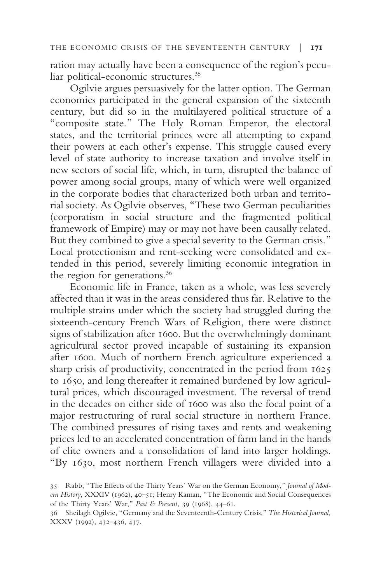ration may actually have been a consequence of the region's peculiar political-economic structures.<sup>35</sup>

Ogilvie argues persuasively for the latter option. The German economies participated in the general expansion of the sixteenth century, but did so in the multilayered political structure of a "composite state." The Holy Roman Emperor, the electoral states, and the territorial princes were all attempting to expand their powers at each other's expense. This struggle caused every level of state authority to increase taxation and involve itself in new sectors of social life, which, in turn, disrupted the balance of power among social groups, many of which were well organized in the corporate bodies that characterized both urban and territorial society. As Ogilvie observes, "These two German peculiarities (corporatism in social structure and the fragmented political framework of Empire) may or may not have been causally related. But they combined to give a special severity to the German crisis." Local protectionism and rent-seeking were consolidated and extended in this period, severely limiting economic integration in the region for generations.<sup>36</sup>

Economic life in France, taken as a whole, was less severely affected than it was in the areas considered thus far. Relative to the multiple strains under which the society had struggled during the sixteenth-century French Wars of Religion, there were distinct signs of stabilization after 1600. But the overwhelmingly dominant agricultural sector proved incapable of sustaining its expansion after 1600. Much of northern French agriculture experienced a sharp crisis of productivity, concentrated in the period from 1625 to 1650, and long thereafter it remained burdened by low agricultural prices, which discouraged investment. The reversal of trend in the decades on either side of 1600 was also the focal point of a major restructuring of rural social structure in northern France. The combined pressures of rising taxes and rents and weakening prices led to an accelerated concentration of farm land in the hands of elite owners and a consolidation of land into larger holdings. "By 1630, most northern French villagers were divided into a

<sup>35</sup> Rabb, "The Effects of the Thirty Years' War on the German Economy," *Journal of Modern History,* XXXIV (1962), 40–51; Henry Kaman, "The Economic and Social Consequences of the Thirty Years' War," *Past & Present,* 39 (1968), 44–61.

<sup>36</sup> Sheilagh Ogilvie, "Germany and the Seventeenth-Century Crisis," *The Historical Journal,* XXXV (1992), 432–436, 437.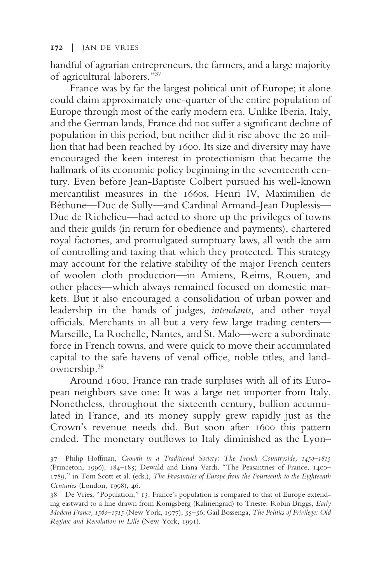#### **172** | JAN DE VRIES

handful of agrarian entrepreneurs, the farmers, and a large majority of agricultural laborers."<sup>37</sup>

France was by far the largest political unit of Europe; it alone could claim approximately one-quarter of the entire population of Europe through most of the early modern era. Unlike Iberia, Italy, and the German lands, France did not suffer a significant decline of population in this period, but neither did it rise above the 20 million that had been reached by 1600. Its size and diversity may have encouraged the keen interest in protectionism that became the hallmark of its economic policy beginning in the seventeenth century. Even before Jean-Baptiste Colbert pursued his well-known mercantilist measures in the 1660s, Henri IV, Maximilien de Béthune—Duc de Sully—and Cardinal Armand-Jean Duplessis— Duc de Richelieu—had acted to shore up the privileges of towns and their guilds (in return for obedience and payments), chartered royal factories, and promulgated sumptuary laws, all with the aim of controlling and taxing that which they protected. This strategy may account for the relative stability of the major French centers of woolen cloth production—in Amiens, Reims, Rouen, and other places—which always remained focused on domestic markets. But it also encouraged a consolidation of urban power and leadership in the hands of judges, *intendants,* and other royal officials. Merchants in all but a very few large trading centers— Marseille, La Rochelle, Nantes, and St. Malo—were a subordinate force in French towns, and were quick to move their accumulated capital to the safe havens of venal office, noble titles, and landownership.<sup>38</sup>

Around 1600, France ran trade surpluses with all of its European neighbors save one: It was a large net importer from Italy. Nonetheless, throughout the sixteenth century, bullion accumulated in France, and its money supply grew rapidly just as the Crown's revenue needs did. But soon after 1600 this pattern ended. The monetary outflows to Italy diminished as the Lyon-

<sup>37</sup> Philip Hoffman, *Growth in a Traditional Society: The French Countryside, 1450–1815* (Princeton, 1996), 184–185; Dewald and Liana Vardi, "The Peasantries of France, 1400– 1789," in Tom Scott et al. (eds.), *The Peasantries of Europe from the Fourteenth to the Eighteenth Centuries* (London, 1998), 46.

<sup>38</sup> De Vries, "Population," 13. France's population is compared to that of Europe extending eastward to a line drawn from Konigsberg (Kalinengrad) to Trieste. Robin Briggs, *Early Modern France, 1560–1715* (New York, 1977), 55–56; Gail Bossenga, *The Politics of Privilege: Old Regime and Revolution in Lille* (New York, 1991).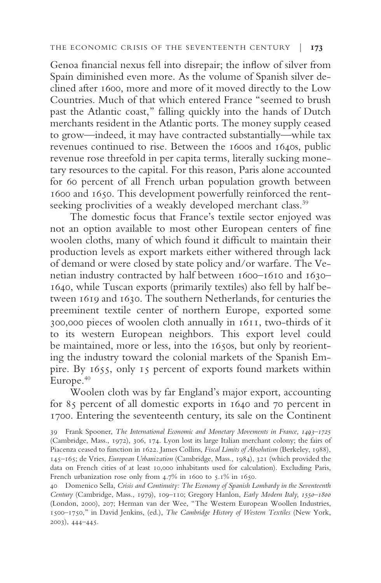Genoa financial nexus fell into disrepair; the inflow of silver from Spain diminished even more. As the volume of Spanish silver declined after 1600, more and more of it moved directly to the Low Countries. Much of that which entered France "seemed to brush past the Atlantic coast," falling quickly into the hands of Dutch merchants resident in the Atlantic ports. The money supply ceased to grow—indeed, it may have contracted substantially—while tax revenues continued to rise. Between the 1600s and 1640s, public revenue rose threefold in per capita terms, literally sucking monetary resources to the capital. For this reason, Paris alone accounted for 60 percent of all French urban population growth between 1600 and 1650. This development powerfully reinforced the rentseeking proclivities of a weakly developed merchant class.<sup>39</sup>

The domestic focus that France's textile sector enjoyed was not an option available to most other European centers of fine woolen cloths, many of which found it difficult to maintain their production levels as export markets either withered through lack of demand or were closed by state policy and/or warfare. The Venetian industry contracted by half between 1600–1610 and 1630– 1640, while Tuscan exports (primarily textiles) also fell by half between 1619 and 1630. The southern Netherlands, for centuries the preeminent textile center of northern Europe, exported some 300,000 pieces of woolen cloth annually in 1611, two-thirds of it to its western European neighbors. This export level could be maintained, more or less, into the 1650s, but only by reorienting the industry toward the colonial markets of the Spanish Empire. By 1655, only 15 percent of exports found markets within Europe.<sup>40</sup>

Woolen cloth was by far England's major export, accounting for 85 percent of all domestic exports in 1640 and 70 percent in 1700. Entering the seventeenth century, its sale on the Continent

40 Domenico Sella, *Crisis and Continuity: The Economy of Spanish Lombardy in the Seventeenth Century* (Cambridge, Mass., 1979), 109–110; Gregory Hanlon, *Early Modern Italy, 1550–1800* (London, 2000), 207; Herman van der Wee, "The Western European Woollen Industries, 1500–1750," in David Jenkins, (ed.), *The Cambridge History of Western Textiles* (New York, 2003), 444–445.

<sup>39</sup> Frank Spooner, *The International Economic and Monetary Movements in France, 1493–1725* (Cambridge, Mass., 1972), 306, 174. Lyon lost its large Italian merchant colony; the fairs of Piacenza ceased to function in 1622. James Collins, *Fiscal Limits of Absolutism* (Berkeley, 1988), 145–165; de Vries, *European Urbanization* (Cambridge, Mass., 1984), 321 (which provided the data on French cities of at least 10,000 inhabitants used for calculation). Excluding Paris, French urbanization rose only from 4.7% in 1600 to 5.1% in 1650.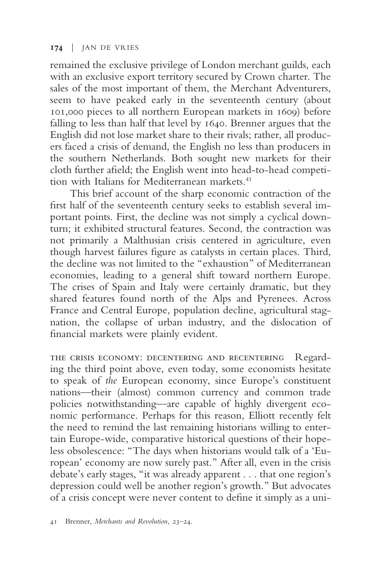remained the exclusive privilege of London merchant guilds, each with an exclusive export territory secured by Crown charter. The sales of the most important of them, the Merchant Adventurers, seem to have peaked early in the seventeenth century (about 101,000 pieces to all northern European markets in 1609) before falling to less than half that level by 1640. Brenner argues that the English did not lose market share to their rivals; rather, all producers faced a crisis of demand, the English no less than producers in the southern Netherlands. Both sought new markets for their cloth further afield; the English went into head-to-head competition with Italians for Mediterranean markets.<sup>41</sup>

This brief account of the sharp economic contraction of the first half of the seventeenth century seeks to establish several important points. First, the decline was not simply a cyclical downturn; it exhibited structural features. Second, the contraction was not primarily a Malthusian crisis centered in agriculture, even though harvest failures figure as catalysts in certain places. Third, the decline was not limited to the "exhaustion" of Mediterranean economies, leading to a general shift toward northern Europe. The crises of Spain and Italy were certainly dramatic, but they shared features found north of the Alps and Pyrenees. Across France and Central Europe, population decline, agricultural stagnation, the collapse of urban industry, and the dislocation of financial markets were plainly evident.

the crisis economy: decentering and recentering Regarding the third point above, even today, some economists hesitate to speak of *the* European economy, since Europe's constituent nations—their (almost) common currency and common trade policies notwithstanding—are capable of highly divergent economic performance. Perhaps for this reason, Elliott recently felt the need to remind the last remaining historians willing to entertain Europe-wide, comparative historical questions of their hopeless obsolescence: "The days when historians would talk of a 'European' economy are now surely past." After all, even in the crisis debate's early stages, "it was already apparent . . . that one region's depression could well be another region's growth." But advocates of a crisis concept were never content to define it simply as a uni-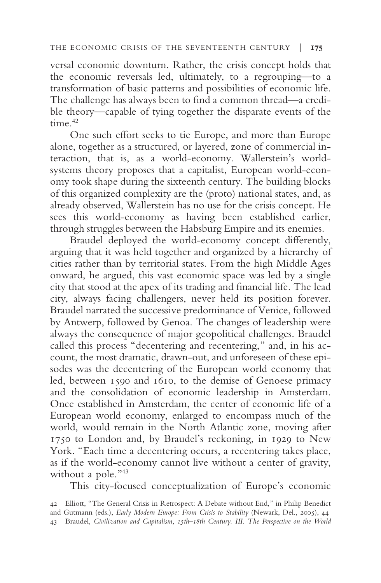## THE ECONOMIC CRISIS OF THE SEVENTEENTH CENTURY | 175

versal economic downturn. Rather, the crisis concept holds that the economic reversals led, ultimately, to a regrouping—to a transformation of basic patterns and possibilities of economic life. The challenge has always been to find a common thread—a credible theory—capable of tying together the disparate events of the  $time$ <sup>42</sup>

One such effort seeks to tie Europe, and more than Europe alone, together as a structured, or layered, zone of commercial interaction, that is, as a world-economy. Wallerstein's worldsystems theory proposes that a capitalist, European world-economy took shape during the sixteenth century. The building blocks of this organized complexity are the (proto) national states, and, as already observed, Wallerstein has no use for the crisis concept. He sees this world-economy as having been established earlier, through struggles between the Habsburg Empire and its enemies.

Braudel deployed the world-economy concept differently, arguing that it was held together and organized by a hierarchy of cities rather than by territorial states. From the high Middle Ages onward, he argued, this vast economic space was led by a single city that stood at the apex of its trading and financial life. The lead city, always facing challengers, never held its position forever. Braudel narrated the successive predominance of Venice, followed by Antwerp, followed by Genoa. The changes of leadership were always the consequence of major geopolitical challenges. Braudel called this process "decentering and recentering," and, in his account, the most dramatic, drawn-out, and unforeseen of these episodes was the decentering of the European world economy that led, between 1590 and 1610, to the demise of Genoese primacy and the consolidation of economic leadership in Amsterdam. Once established in Amsterdam, the center of economic life of a European world economy, enlarged to encompass much of the world, would remain in the North Atlantic zone, moving after 1750 to London and, by Braudel's reckoning, in 1929 to New York. "Each time a decentering occurs, a recentering takes place, as if the world-economy cannot live without a center of gravity, without a pole."<sup>43</sup>

This city-focused conceptualization of Europe's economic

<sup>42</sup> Elliott, "The General Crisis in Retrospect: A Debate without End," in Philip Benedict and Gutmann (eds.), *Early Modern Europe: From Crisis to Stability* (Newark, Del., 2005), 44 43 Braudel, *Civilization and Capitalism, 15th–18th Century. III. The Perspective on the World*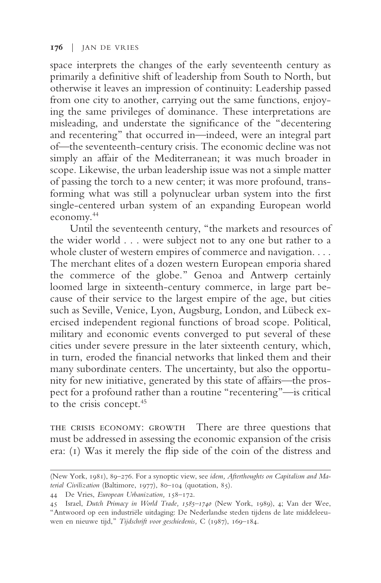space interprets the changes of the early seventeenth century as primarily a definitive shift of leadership from South to North, but otherwise it leaves an impression of continuity: Leadership passed from one city to another, carrying out the same functions, enjoying the same privileges of dominance. These interpretations are misleading, and understate the significance of the "decentering and recentering" that occurred in—indeed, were an integral part of—the seventeenth-century crisis. The economic decline was not simply an affair of the Mediterranean; it was much broader in scope. Likewise, the urban leadership issue was not a simple matter of passing the torch to a new center; it was more profound, transforming what was still a polynuclear urban system into the first single-centered urban system of an expanding European world economy.<sup>44</sup>

Until the seventeenth century, "the markets and resources of the wider world . . . were subject not to any one but rather to a whole cluster of western empires of commerce and navigation.... The merchant elites of a dozen western European emporia shared the commerce of the globe." Genoa and Antwerp certainly loomed large in sixteenth-century commerce, in large part because of their service to the largest empire of the age, but cities such as Seville, Venice, Lyon, Augsburg, London, and Lübeck exercised independent regional functions of broad scope. Political, military and economic events converged to put several of these cities under severe pressure in the later sixteenth century, which, in turn, eroded the financial networks that linked them and their many subordinate centers. The uncertainty, but also the opportunity for new initiative, generated by this state of affairs—the prospect for a profound rather than a routine "recentering"—is critical to the crisis concept.<sup>45</sup>

THE CRISIS ECONOMY: GROWTH There are three questions that must be addressed in assessing the economic expansion of the crisis era: (1) Was it merely the flip side of the coin of the distress and

<sup>(</sup>New York, 1981), 89–276. For a synoptic view, see *idem, Afterthoughts on Capitalism and Material Civilization* (Baltimore, 1977), 80–104 (quotation, 85).

<sup>44</sup> De Vries, *European Urbanization,* 158–172.

<sup>45</sup> Israel, *Dutch Primacy in World Trade, 1585–1740* (New York, 1989), 4; Van der Wee, "Antwoord op een industriële uitdaging: De Nederlandse steden tijdens de late middeleeuwen en nieuwe tijd," *Tijdschrift voor geschiedenis,* C (1987), 169–184.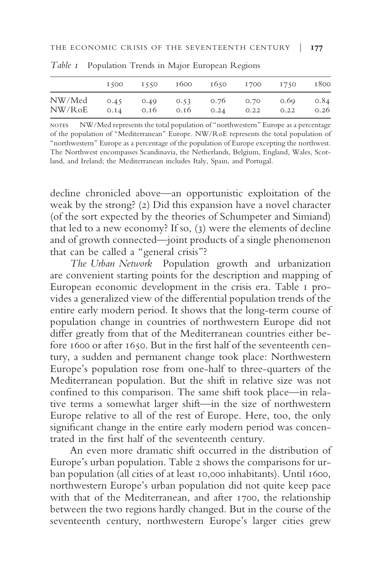|                                                     | I 500 | $I \leq S$ | 1600 | $1650$ $1700$ $1750$               |      | 1800 |
|-----------------------------------------------------|-------|------------|------|------------------------------------|------|------|
| NW/Med 0.45 0.49 0.53 0.76 0.70 0.69 0.84<br>NW/RoE |       |            |      | $0.14$ $0.16$ $0.16$ $0.24$ $0.22$ | 0.22 | 0.26 |

*Table 1* Population Trends in Major European Regions

NOTES NW/Med represents the total population of "northwestern" Europe as a percentage of the population of "Mediterranean" Europe. NW/RoE represents the total population of "northwestern" Europe as a percentage of the population of Europe excepting the northwest. The Northwest encompasses Scandinavia, the Netherlands, Belgium, England, Wales, Scotland, and Ireland; the Mediterranean includes Italy, Spain, and Portugal.

decline chronicled above—an opportunistic exploitation of the weak by the strong? (2) Did this expansion have a novel character (of the sort expected by the theories of Schumpeter and Simiand) that led to a new economy? If so, (3) were the elements of decline and of growth connected—joint products of a single phenomenon that can be called a "general crisis"?

*The Urban Network* Population growth and urbanization are convenient starting points for the description and mapping of European economic development in the crisis era. Table 1 provides a generalized view of the differential population trends of the entire early modern period. It shows that the long-term course of population change in countries of northwestern Europe did not differ greatly from that of the Mediterranean countries either before 1600 or after 1650. But in the first half of the seventeenth century, a sudden and permanent change took place: Northwestern Europe's population rose from one-half to three-quarters of the Mediterranean population. But the shift in relative size was not confined to this comparison. The same shift took place—in relative terms a somewhat larger shift—in the size of northwestern Europe relative to all of the rest of Europe. Here, too, the only significant change in the entire early modern period was concentrated in the first half of the seventeenth century.

An even more dramatic shift occurred in the distribution of Europe's urban population. Table 2 shows the comparisons for urban population (all cities of at least 10,000 inhabitants). Until 1600, northwestern Europe's urban population did not quite keep pace with that of the Mediterranean, and after 1700, the relationship between the two regions hardly changed. But in the course of the seventeenth century, northwestern Europe's larger cities grew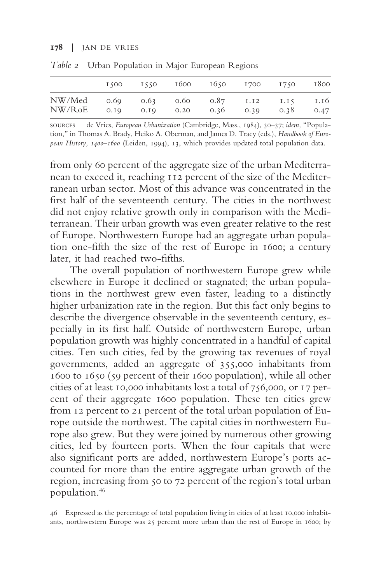|                                                | I 500         | I 5 50 |      | 1600 1650 1700 1750 |      | 1800         |
|------------------------------------------------|---------------|--------|------|---------------------|------|--------------|
| NW/Med 0.69 0.63 0.60 0.87 1.12 1.15<br>NW/RoE | $0.19$ $0.19$ |        | 0.20 | $0.36$ 0.39         | 0.38 | 1.16<br>0.47 |

*Table 2* Urban Population in Major European Regions

sources de Vries, *European Urbanization* (Cambridge, Mass., 1984), 30–37; *idem,* "Population," in Thomas A. Brady, Heiko A. Oberman, and James D. Tracy (eds.), *Handbook of European History, 1400–1600* (Leiden, 1994), 13, which provides updated total population data.

from only 60 percent of the aggregate size of the urban Mediterranean to exceed it, reaching 112 percent of the size of the Mediterranean urban sector. Most of this advance was concentrated in the first half of the seventeenth century. The cities in the northwest did not enjoy relative growth only in comparison with the Mediterranean. Their urban growth was even greater relative to the rest of Europe. Northwestern Europe had an aggregate urban population one-fifth the size of the rest of Europe in 1600; a century later, it had reached two-fifths.

The overall population of northwestern Europe grew while elsewhere in Europe it declined or stagnated; the urban populations in the northwest grew even faster, leading to a distinctly higher urbanization rate in the region. But this fact only begins to describe the divergence observable in the seventeenth century, especially in its first half. Outside of northwestern Europe, urban population growth was highly concentrated in a handful of capital cities. Ten such cities, fed by the growing tax revenues of royal governments, added an aggregate of 355,000 inhabitants from 1600 to 1650 (59 percent of their 1600 population), while all other cities of at least 10,000 inhabitants lost a total of 756,000, or 17 percent of their aggregate 1600 population. These ten cities grew from 12 percent to 21 percent of the total urban population of Europe outside the northwest. The capital cities in northwestern Europe also grew. But they were joined by numerous other growing cities, led by fourteen ports. When the four capitals that were also significant ports are added, northwestern Europe's ports accounted for more than the entire aggregate urban growth of the region, increasing from 50 to 72 percent of the region's total urban population.<sup>46</sup>

46 Expressed as the percentage of total population living in cities of at least 10,000 inhabitants, northwestern Europe was 25 percent more urban than the rest of Europe in 1600; by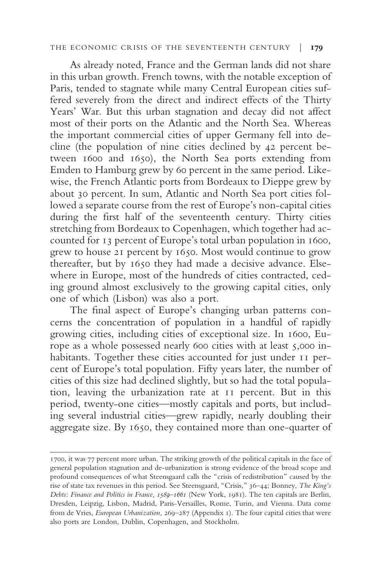### THE ECONOMIC CRISIS OF THE SEVENTEENTH CENTURY | 179

As already noted, France and the German lands did not share in this urban growth. French towns, with the notable exception of Paris, tended to stagnate while many Central European cities suffered severely from the direct and indirect effects of the Thirty Years' War. But this urban stagnation and decay did not affect most of their ports on the Atlantic and the North Sea. Whereas the important commercial cities of upper Germany fell into decline (the population of nine cities declined by 42 percent between 1600 and 1650), the North Sea ports extending from Emden to Hamburg grew by 60 percent in the same period. Likewise, the French Atlantic ports from Bordeaux to Dieppe grew by about 30 percent. In sum, Atlantic and North Sea port cities followed a separate course from the rest of Europe's non-capital cities during the first half of the seventeenth century. Thirty cities stretching from Bordeaux to Copenhagen, which together had accounted for 13 percent of Europe's total urban population in 1600, grew to house 21 percent by  $1650$ . Most would continue to grow thereafter, but by 1650 they had made a decisive advance. Elsewhere in Europe, most of the hundreds of cities contracted, ceding ground almost exclusively to the growing capital cities, only one of which (Lisbon) was also a port.

The final aspect of Europe's changing urban patterns concerns the concentration of population in a handful of rapidly growing cities, including cities of exceptional size. In 1600, Europe as a whole possessed nearly 600 cities with at least 5,000 inhabitants. Together these cities accounted for just under 11 percent of Europe's total population. Fifty years later, the number of cities of this size had declined slightly, but so had the total population, leaving the urbanization rate at 11 percent. But in this period, twenty-one cities—mostly capitals and ports, but including several industrial cities—grew rapidly, nearly doubling their aggregate size. By 1650, they contained more than one-quarter of

<sup>1700,</sup> it was 77 percent more urban. The striking growth of the political capitals in the face of general population stagnation and de-urbanization is strong evidence of the broad scope and profound consequences of what Steensgaard calls the "crisis of redistribution" caused by the rise of state tax revenues in this period. See Steensgaard, "Crisis," 36–44; Bonney, *The King's Debts: Finance and Politics in France, 1589–1661* (New York, 1981). The ten capitals are Berlin, Dresden, Leipzig, Lisbon, Madrid, Paris-Versailles, Rome, Turin, and Vienna. Data come from de Vries, *European Urbanization,* 269–287 (Appendix 1). The four capital cities that were also ports are London, Dublin, Copenhagen, and Stockholm.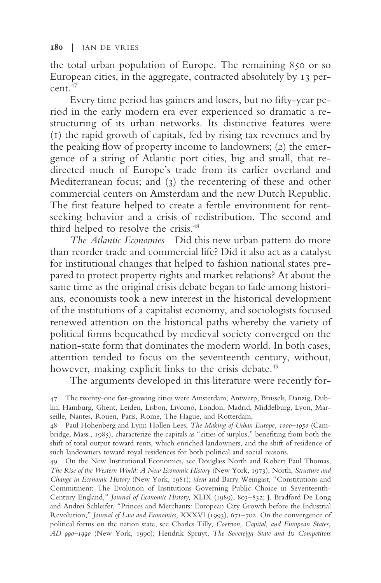the total urban population of Europe. The remaining 850 or so European cities, in the aggregate, contracted absolutely by 13 percent.<sup>47</sup>

Every time period has gainers and losers, but no fifty-year period in the early modern era ever experienced so dramatic a restructuring of its urban networks. Its distinctive features were (1) the rapid growth of capitals, fed by rising tax revenues and by the peaking flow of property income to landowners;  $(2)$  the emergence of a string of Atlantic port cities, big and small, that redirected much of Europe's trade from its earlier overland and Mediterranean focus; and (3) the recentering of these and other commercial centers on Amsterdam and the new Dutch Republic. The first feature helped to create a fertile environment for rentseeking behavior and a crisis of redistribution. The second and third helped to resolve the crisis.<sup>48</sup>

*The Atlantic Economies* Did this new urban pattern do more than reorder trade and commercial life? Did it also act as a catalyst for institutional changes that helped to fashion national states prepared to protect property rights and market relations? At about the same time as the original crisis debate began to fade among historians, economists took a new interest in the historical development of the institutions of a capitalist economy, and sociologists focused renewed attention on the historical paths whereby the variety of political forms bequeathed by medieval society converged on the nation-state form that dominates the modern world. In both cases, attention tended to focus on the seventeenth century, without, however, making explicit links to the crisis debate.<sup>49</sup>

The arguments developed in this literature were recently for-

47 The twenty-one fast-growing cities were Amsterdam, Antwerp, Brussels, Danzig, Dublin, Hamburg, Ghent, Leiden, Lisbon, Livorno, London, Madrid, Middelburg, Lyon, Marseille, Nantes, Rouen, Paris, Rome, The Hague, and Rotterdam,

48 Paul Hohenberg and Lynn Hollen Lees, *The Making of Urban Europe, 1000–1950* (Cambridge, Mass., 1985), characterize the capitals as "cities of surplus," benefiting from both the shift of total output toward rents, which enriched landowners, and the shift of residence of such landowners toward royal residences for both political and social reasons.

49 On the New Institutional Economics, see Douglass North and Robert Paul Thomas, *The Rise of the Western World: A New Economic History* (New York, 1973); North, *Structure and Change in Economic History* (New York, 1981); *idem* and Barry Weingast, "Constitutions and Commitment: The Evolution of Institutions Governing Public Choice in Seventeenth-Century England," *Journal of Economic History,* XLIX (1989), 803–832; J. Bradford De Long and Andrei Schleifer, "Princes and Merchants: European City Growth before the Industrial Revolution," *Journal of Law and Economics,* XXXVI (1993), 671–702. On the convergence of political forms on the nation state, see Charles Tilly, *Coercion, Capital, and European States, AD 990–1990* (New York, 1990); Hendrik Spruyt, *The Sovereign State and Its Competitors*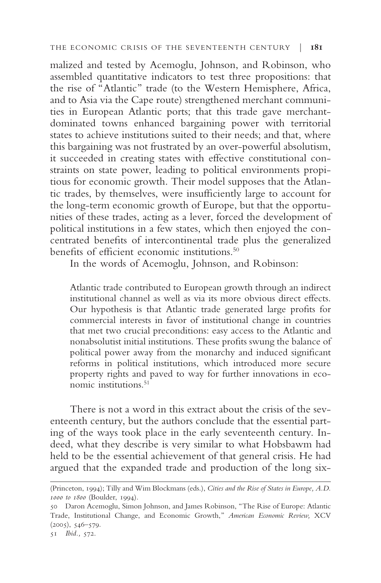malized and tested by Acemoglu, Johnson, and Robinson, who assembled quantitative indicators to test three propositions: that the rise of "Atlantic" trade (to the Western Hemisphere, Africa, and to Asia via the Cape route) strengthened merchant communities in European Atlantic ports; that this trade gave merchantdominated towns enhanced bargaining power with territorial states to achieve institutions suited to their needs; and that, where this bargaining was not frustrated by an over-powerful absolutism, it succeeded in creating states with effective constitutional constraints on state power, leading to political environments propitious for economic growth. Their model supposes that the Atlantic trades, by themselves, were insufficiently large to account for the long-term economic growth of Europe, but that the opportunities of these trades, acting as a lever, forced the development of political institutions in a few states, which then enjoyed the concentrated benefits of intercontinental trade plus the generalized benefits of efficient economic institutions.<sup>50</sup>

In the words of Acemoglu, Johnson, and Robinson:

Atlantic trade contributed to European growth through an indirect institutional channel as well as via its more obvious direct effects. Our hypothesis is that Atlantic trade generated large profits for commercial interests in favor of institutional change in countries that met two crucial preconditions: easy access to the Atlantic and nonabsolutist initial institutions. These profits swung the balance of political power away from the monarchy and induced significant reforms in political institutions, which introduced more secure property rights and paved to way for further innovations in economic institutions.<sup>51</sup>

There is not a word in this extract about the crisis of the seventeenth century, but the authors conclude that the essential parting of the ways took place in the early seventeenth century. Indeed, what they describe is very similar to what Hobsbawm had held to be the essential achievement of that general crisis. He had argued that the expanded trade and production of the long six-

<sup>(</sup>Princeton, 1994); Tilly and Wim Blockmans (eds.), *Cities and the Rise of States in Europe, A.D. 1000 to 1800* (Boulder, 1994).

<sup>50</sup> Daron Acemoglu, Simon Johnson, and James Robinson, "The Rise of Europe: Atlantic Trade, Institutional Change, and Economic Growth," *American Economic Review,* XCV (2005), 546–579.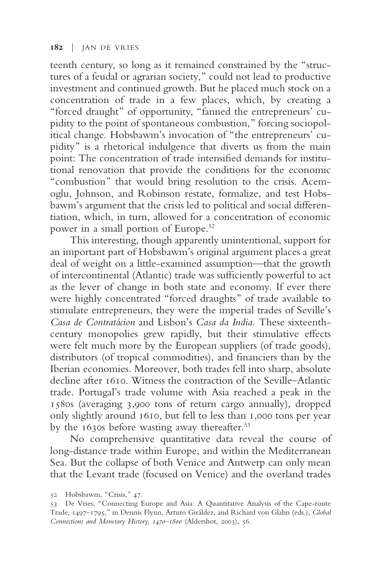teenth century, so long as it remained constrained by the "structures of a feudal or agrarian society," could not lead to productive investment and continued growth. But he placed much stock on a concentration of trade in a few places, which, by creating a "forced draught" of opportunity, "fanned the entrepreneurs' cupidity to the point of spontaneous combustion," forcing sociopolitical change. Hobsbawm's invocation of "the entrepreneurs' cupidity" is a rhetorical indulgence that diverts us from the main point: The concentration of trade intensified demands for institutional renovation that provide the conditions for the economic "combustion" that would bring resolution to the crisis. Acemoglu, Johnson, and Robinson restate, formalize, and test Hobsbawm's argument that the crisis led to political and social differentiation, which, in turn, allowed for a concentration of economic power in a small portion of Europe.<sup>52</sup>

This interesting, though apparently unintentional, support for an important part of Hobsbawm's original argument places a great deal of weight on a little-examined assumption—that the growth of intercontinental (Atlantic) trade was sufficiently powerful to act as the lever of change in both state and economy. If ever there were highly concentrated "forced draughts" of trade available to stimulate entrepreneurs, they were the imperial trades of Seville's *Casa de Contratácion* and Lisbon's *Casa da India.* These sixteenthcentury monopolies grew rapidly, but their stimulative effects were felt much more by the European suppliers (of trade goods), distributors (of tropical commodities), and financiers than by the Iberian economies. Moreover, both trades fell into sharp, absolute decline after 1610. Witness the contraction of the Seville–Atlantic trade. Portugal's trade volume with Asia reached a peak in the 1580s (averaging 3,900 tons of return cargo annually), dropped only slightly around 1610, but fell to less than 1,000 tons per year by the 1630s before wasting away thereafter.<sup>53</sup>

No comprehensive quantitative data reveal the course of long-distance trade within Europe, and within the Mediterranean Sea. But the collapse of both Venice and Antwerp can only mean that the Levant trade (focused on Venice) and the overland trades

<sup>52</sup> Hobsbawm, "Crisis," 47.

<sup>53</sup> De Vries, "Connecting Europe and Asia: A Quantitative Analysis of the Cape-route Trade, 1497–1795," in Dennis Flynn, Arturo Giráldez, and Richard von Glahn (eds.), *Global Connections and Monetary History, 1470–1800* (Aldershot, 2003), 56.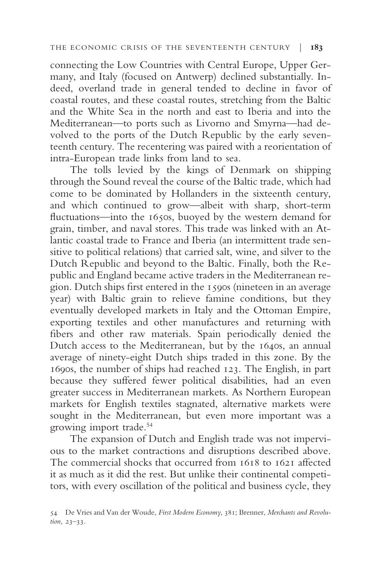connecting the Low Countries with Central Europe, Upper Germany, and Italy (focused on Antwerp) declined substantially. Indeed, overland trade in general tended to decline in favor of coastal routes, and these coastal routes, stretching from the Baltic and the White Sea in the north and east to Iberia and into the Mediterranean—to ports such as Livorno and Smyrna—had devolved to the ports of the Dutch Republic by the early seventeenth century. The recentering was paired with a reorientation of intra-European trade links from land to sea.

The tolls levied by the kings of Denmark on shipping through the Sound reveal the course of the Baltic trade, which had come to be dominated by Hollanders in the sixteenth century, and which continued to grow—albeit with sharp, short-term fluctuations—into the 1650s, buoyed by the western demand for grain, timber, and naval stores. This trade was linked with an Atlantic coastal trade to France and Iberia (an intermittent trade sensitive to political relations) that carried salt, wine, and silver to the Dutch Republic and beyond to the Baltic. Finally, both the Republic and England became active traders in the Mediterranean region. Dutch ships first entered in the 1590s (nineteen in an average year) with Baltic grain to relieve famine conditions, but they eventually developed markets in Italy and the Ottoman Empire, exporting textiles and other manufactures and returning with fibers and other raw materials. Spain periodically denied the Dutch access to the Mediterranean, but by the 1640s, an annual average of ninety-eight Dutch ships traded in this zone. By the 1690s, the number of ships had reached 123. The English, in part because they suffered fewer political disabilities, had an even greater success in Mediterranean markets. As Northern European markets for English textiles stagnated, alternative markets were sought in the Mediterranean, but even more important was a growing import trade.<sup>54</sup>

The expansion of Dutch and English trade was not impervious to the market contractions and disruptions described above. The commercial shocks that occurred from 1618 to 1621 affected it as much as it did the rest. But unlike their continental competitors, with every oscillation of the political and business cycle, they

<sup>54</sup> De Vries and Van der Woude, *First Modern Economy,* 381; Brenner, *Merchants and Revolution,* 23–33.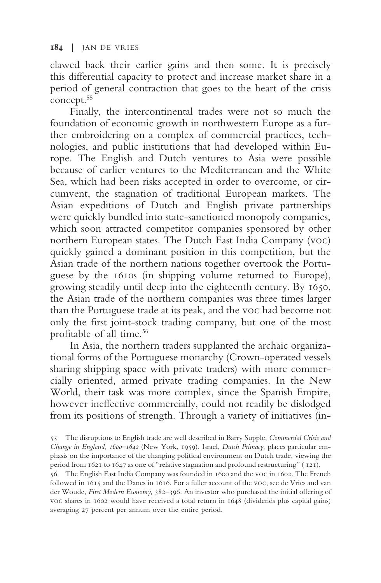clawed back their earlier gains and then some. It is precisely this differential capacity to protect and increase market share in a period of general contraction that goes to the heart of the crisis concept.<sup>55</sup>

Finally, the intercontinental trades were not so much the foundation of economic growth in northwestern Europe as a further embroidering on a complex of commercial practices, technologies, and public institutions that had developed within Europe. The English and Dutch ventures to Asia were possible because of earlier ventures to the Mediterranean and the White Sea, which had been risks accepted in order to overcome, or circumvent, the stagnation of traditional European markets. The Asian expeditions of Dutch and English private partnerships were quickly bundled into state-sanctioned monopoly companies, which soon attracted competitor companies sponsored by other northern European states. The Dutch East India Company (voc) quickly gained a dominant position in this competition, but the Asian trade of the northern nations together overtook the Portuguese by the 1610s (in shipping volume returned to Europe), growing steadily until deep into the eighteenth century. By 1650, the Asian trade of the northern companies was three times larger than the Portuguese trade at its peak, and the voc had become not only the first joint-stock trading company, but one of the most profitable of all time.<sup>56</sup>

In Asia, the northern traders supplanted the archaic organizational forms of the Portuguese monarchy (Crown-operated vessels sharing shipping space with private traders) with more commercially oriented, armed private trading companies. In the New World, their task was more complex, since the Spanish Empire, however ineffective commercially, could not readily be dislodged from its positions of strength. Through a variety of initiatives (in-

56 The English East India Company was founded in 1600 and the voc in 1602. The French followed in 1615 and the Danes in 1616. For a fuller account of the voc, see de Vries and van der Woude, *First Modern Economy,* 382–396. An investor who purchased the initial offering of voc shares in 1602 would have received a total return in 1648 (dividends plus capital gains) averaging 27 percent per annum over the entire period.

<sup>55</sup> The disruptions to English trade are well described in Barry Supple, *Commercial Crisis and Change in England, 1600–1642* (New York, 1959). Israel, *Dutch Primacy,* places particular emphasis on the importance of the changing political environment on Dutch trade, viewing the period from 1621 to 1647 as one of "relative stagnation and profound restructuring" ( 121).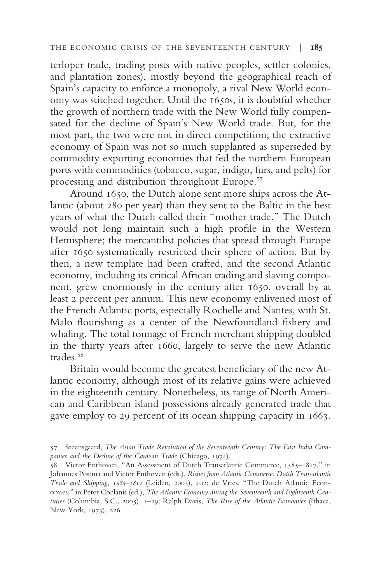terloper trade, trading posts with native peoples, settler colonies, and plantation zones), mostly beyond the geographical reach of Spain's capacity to enforce a monopoly, a rival New World economy was stitched together. Until the 1650s, it is doubtful whether the growth of northern trade with the New World fully compensated for the decline of Spain's New World trade. But, for the most part, the two were not in direct competition; the extractive economy of Spain was not so much supplanted as superseded by commodity exporting economies that fed the northern European ports with commodities (tobacco, sugar, indigo, furs, and pelts) for processing and distribution throughout Europe.<sup>57</sup>

Around 1650, the Dutch alone sent more ships across the Atlantic (about 280 per year) than they sent to the Baltic in the best years of what the Dutch called their "mother trade." The Dutch would not long maintain such a high profile in the Western Hemisphere; the mercantilist policies that spread through Europe after 1650 systematically restricted their sphere of action. But by then, a new template had been crafted, and the second Atlantic economy, including its critical African trading and slaving component, grew enormously in the century after 1650, overall by at least 2 percent per annum. This new economy enlivened most of the French Atlantic ports, especially Rochelle and Nantes, with St. Malo flourishing as a center of the Newfoundland fishery and whaling. The total tonnage of French merchant shipping doubled in the thirty years after 1660, largely to serve the new Atlantic trades.<sup>58</sup>

Britain would become the greatest beneficiary of the new Atlantic economy, although most of its relative gains were achieved in the eighteenth century. Nonetheless, its range of North American and Caribbean island possessions already generated trade that gave employ to 29 percent of its ocean shipping capacity in 1663.

<sup>57</sup> Steensgaard, *The Asian Trade Revolution of the Seventeenth Century: The East India Companies and the Decline of the Caravan Trade* (Chicago, 1974).

<sup>58</sup> Victor Enthoven, "An Assessment of Dutch Transatlantic Commerce, 1585–1817," in Johannes Postma and Victor Enthoven (eds.), *Riches from Atlantic Commerce: Dutch Transatlantic Trade and Shipping, 1585–1817* (Leiden, 2003), 402; de Vries, "The Dutch Atlantic Economies," in Peter Coclanis (ed.), *The Atlantic Economy during the Seventeenth and Eighteenth Centuries* (Columbia, S.C., 2005), 1–29; Ralph Davis, *The Rise of the Atlantic Economies* (Ithaca, New York, 1973), 226.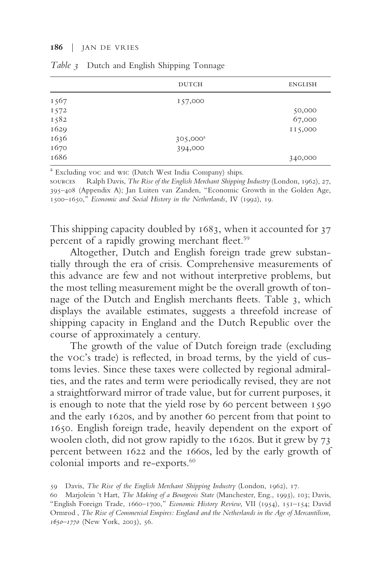#### **186** | JAN DE VRIES

|      | <b>DUTCH</b>         | <b>ENGLISH</b> |
|------|----------------------|----------------|
| 1567 | 157,000              |                |
| 1572 |                      | 50,000         |
| 1582 |                      | 67,000         |
| 1629 |                      | 115,000        |
| 1636 | 305,000 <sup>a</sup> |                |
| 1670 | 394,000              |                |
| 1686 |                      | 340,000        |

*Table 3* Dutch and English Shipping Tonnage

<sup>a</sup> Excluding voc and wic (Dutch West India Company) ships.

sources Ralph Davis, *The Rise of the English Merchant Shipping Industry* (London, 1962), 27, 395–408 (Appendix A); Jan Luiten van Zanden, "Economic Growth in the Golden Age, 1500–1650," *Economic and Social History in the Netherlands,* IV (1992), 19.

This shipping capacity doubled by 1683, when it accounted for 37 percent of a rapidly growing merchant fleet. $59$ 

Altogether, Dutch and English foreign trade grew substantially through the era of crisis. Comprehensive measurements of this advance are few and not without interpretive problems, but the most telling measurement might be the overall growth of tonnage of the Dutch and English merchants fleets. Table 3, which displays the available estimates, suggests a threefold increase of shipping capacity in England and the Dutch Republic over the course of approximately a century.

The growth of the value of Dutch foreign trade (excluding the voc's trade) is reflected, in broad terms, by the yield of customs levies. Since these taxes were collected by regional admiralties, and the rates and term were periodically revised, they are not a straightforward mirror of trade value, but for current purposes, it is enough to note that the yield rose by 60 percent between 1590 and the early 1620s, and by another 60 percent from that point to 1650. English foreign trade, heavily dependent on the export of woolen cloth, did not grow rapidly to the 1620s. But it grew by 73 percent between 1622 and the 1660s, led by the early growth of colonial imports and re-exports.<sup>60</sup>

<sup>59</sup> Davis, *The Rise of the English Merchant Shipping Industry* (London, 1962), 17.

<sup>60</sup> Marjolein 't Hart, *The Making of a Bourgeois State* (Manchester, Eng., 1993), 103; Davis, "English Foreign Trade, 1660–1700," *Economic History Review,* VII (1954), 151–154; David Ormrod , *The Rise of Commercial Empires: England and the Netherlands in the Age of Mercantilism, 1650–1770* (New York, 2003), 56.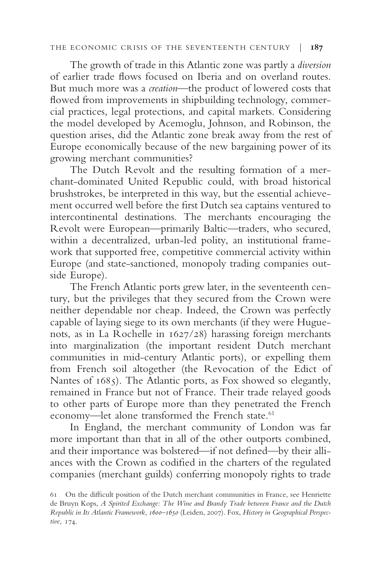### THE ECONOMIC CRISIS OF THE SEVENTEENTH CENTURY | 187

The growth of trade in this Atlantic zone was partly a *diversion* of earlier trade flows focused on Iberia and on overland routes. But much more was a *creation*—the product of lowered costs that flowed from improvements in shipbuilding technology, commercial practices, legal protections, and capital markets. Considering the model developed by Acemoglu, Johnson, and Robinson, the question arises, did the Atlantic zone break away from the rest of Europe economically because of the new bargaining power of its growing merchant communities?

The Dutch Revolt and the resulting formation of a merchant-dominated United Republic could, with broad historical brushstrokes, be interpreted in this way, but the essential achievement occurred well before the first Dutch sea captains ventured to intercontinental destinations. The merchants encouraging the Revolt were European—primarily Baltic—traders, who secured, within a decentralized, urban-led polity, an institutional framework that supported free, competitive commercial activity within Europe (and state-sanctioned, monopoly trading companies outside Europe).

The French Atlantic ports grew later, in the seventeenth century, but the privileges that they secured from the Crown were neither dependable nor cheap. Indeed, the Crown was perfectly capable of laying siege to its own merchants (if they were Huguenots, as in La Rochelle in 1627/28) harassing foreign merchants into marginalization (the important resident Dutch merchant communities in mid-century Atlantic ports), or expelling them from French soil altogether (the Revocation of the Edict of Nantes of 1685). The Atlantic ports, as Fox showed so elegantly, remained in France but not of France. Their trade relayed goods to other parts of Europe more than they penetrated the French economy—let alone transformed the French state.<sup>61</sup>

In England, the merchant community of London was far more important than that in all of the other outports combined, and their importance was bolstered—if not defined—by their alliances with the Crown as codified in the charters of the regulated companies (merchant guilds) conferring monopoly rights to trade

<sup>61</sup> On the difficult position of the Dutch merchant communities in France, see Henriette de Bruyn Kops, *A Spirited Exchange: The Wine and Brandy Trade between France and the Dutch Republic in Its Atlantic Framework, 1600–1650* (Leiden, 2007). Fox, *History in Geographical Perspective,* 174.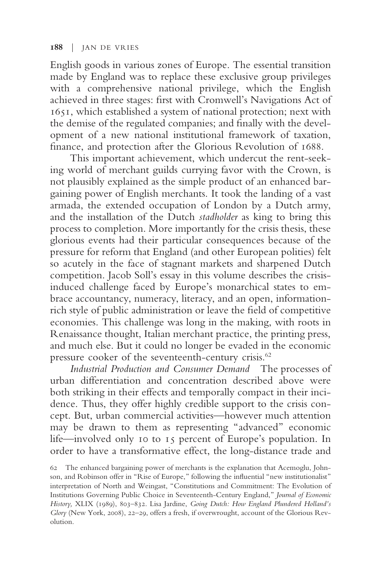English goods in various zones of Europe. The essential transition made by England was to replace these exclusive group privileges with a comprehensive national privilege, which the English achieved in three stages: first with Cromwell's Navigations Act of 1651, which established a system of national protection; next with the demise of the regulated companies; and finally with the development of a new national institutional framework of taxation, finance, and protection after the Glorious Revolution of 1688.

This important achievement, which undercut the rent-seeking world of merchant guilds currying favor with the Crown, is not plausibly explained as the simple product of an enhanced bargaining power of English merchants. It took the landing of a vast armada, the extended occupation of London by a Dutch army, and the installation of the Dutch *stadholder* as king to bring this process to completion. More importantly for the crisis thesis, these glorious events had their particular consequences because of the pressure for reform that England (and other European polities) felt so acutely in the face of stagnant markets and sharpened Dutch competition. Jacob Soll's essay in this volume describes the crisisinduced challenge faced by Europe's monarchical states to embrace accountancy, numeracy, literacy, and an open, informationrich style of public administration or leave the field of competitive economies. This challenge was long in the making, with roots in Renaissance thought, Italian merchant practice, the printing press, and much else. But it could no longer be evaded in the economic pressure cooker of the seventeenth-century crisis.<sup>62</sup>

*Industrial Production and Consumer Demand* The processes of urban differentiation and concentration described above were both striking in their effects and temporally compact in their incidence. Thus, they offer highly credible support to the crisis concept. But, urban commercial activities—however much attention may be drawn to them as representing "advanced" economic life—involved only 10 to 15 percent of Europe's population. In order to have a transformative effect, the long-distance trade and

<sup>62</sup> The enhanced bargaining power of merchants is the explanation that Acemoglu, Johnson, and Robinson offer in "Rise of Europe," following the influential "new institutionalist" interpretation of North and Weingast, "Constitutions and Commitment: The Evolution of Institutions Governing Public Choice in Seventeenth-Century England," *Journal of Economic History,* XLIX (1989), 803–832. Lisa Jardine, *Going Dutch: How England Plundered Holland's Glory* (New York, 2008), 22–29, offers a fresh, if overwrought, account of the Glorious Revolution.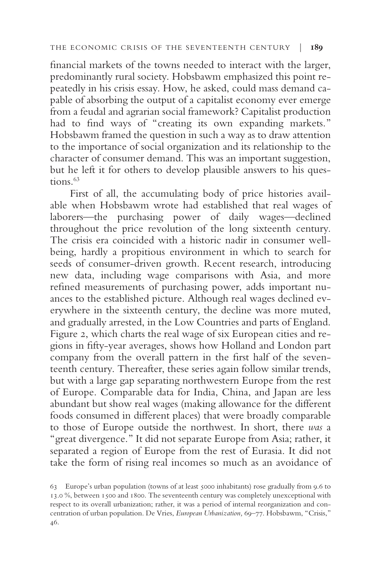financial markets of the towns needed to interact with the larger, predominantly rural society. Hobsbawm emphasized this point repeatedly in his crisis essay. How, he asked, could mass demand capable of absorbing the output of a capitalist economy ever emerge from a feudal and agrarian social framework? Capitalist production had to find ways of "creating its own expanding markets." Hobsbawm framed the question in such a way as to draw attention to the importance of social organization and its relationship to the character of consumer demand. This was an important suggestion, but he left it for others to develop plausible answers to his questions.<sup>63</sup>

First of all, the accumulating body of price histories available when Hobsbawm wrote had established that real wages of laborers—the purchasing power of daily wages—declined throughout the price revolution of the long sixteenth century. The crisis era coincided with a historic nadir in consumer wellbeing, hardly a propitious environment in which to search for seeds of consumer-driven growth. Recent research, introducing new data, including wage comparisons with Asia, and more refined measurements of purchasing power, adds important nuances to the established picture. Although real wages declined everywhere in the sixteenth century, the decline was more muted, and gradually arrested, in the Low Countries and parts of England. Figure 2, which charts the real wage of six European cities and regions in fifty-year averages, shows how Holland and London part company from the overall pattern in the first half of the seventeenth century. Thereafter, these series again follow similar trends, but with a large gap separating northwestern Europe from the rest of Europe. Comparable data for India, China, and Japan are less abundant but show real wages (making allowance for the different foods consumed in different places) that were broadly comparable to those of Europe outside the northwest. In short, there *was* a "great divergence." It did not separate Europe from Asia; rather, it separated a region of Europe from the rest of Eurasia. It did not take the form of rising real incomes so much as an avoidance of

<sup>63</sup> Europe's urban population (towns of at least 5000 inhabitants) rose gradually from 9.6 to 13.0 %, between 1500 and 1800. The seventeenth century was completely unexceptional with respect to its overall urbanization; rather, it was a period of internal reorganization and concentration of urban population. De Vries, *European Urbanization*, 69-77. Hobsbawm, "Crisis," 46.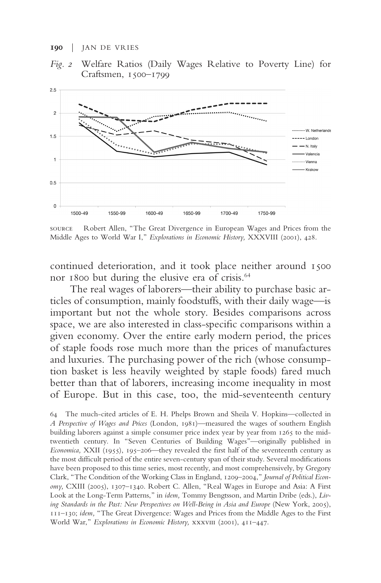#### **190** | JAN DE VRIES

*Fig. 2* Welfare Ratios (Daily Wages Relative to Poverty Line) for Craftsmen, 1500–1799



source Robert Allen, "The Great Divergence in European Wages and Prices from the Middle Ages to World War I," *Explorations in Economic History,* XXXVIII (2001), 428.

continued deterioration, and it took place neither around 1500 nor 1800 but during the elusive era of crisis.<sup>64</sup>

The real wages of laborers—their ability to purchase basic articles of consumption, mainly foodstuffs, with their daily wage—is important but not the whole story. Besides comparisons across space, we are also interested in class-specific comparisons within a given economy. Over the entire early modern period, the prices of staple foods rose much more than the prices of manufactures and luxuries. The purchasing power of the rich (whose consumption basket is less heavily weighted by staple foods) fared much better than that of laborers, increasing income inequality in most of Europe. But in this case, too, the mid-seventeenth century

64 The much-cited articles of E. H. Phelps Brown and Sheila V. Hopkins—collected in *A Perspective of Wages and Prices* (London, 1981)—measured the wages of southern English building laborers against a simple consumer price index year by year from 1265 to the midtwentieth century. In "Seven Centuries of Building Wages"—originally published in *Economica*, XXII (1955), 195–206—they revealed the first half of the seventeenth century as the most difficult period of the entire seven-century span of their study. Several modifications have been proposed to this time series, most recently, and most comprehensively, by Gregory Clark, "The Condition of the Working Class in England, 1209–2004," *Journal of Political Economy,* CXIII (2005), 1307–1340. Robert C. Allen, "Real Wages in Europe and Asia: A First Look at the Long-Term Patterns," in *idem,* Tommy Bengtsson, and Martin Dribe (eds.), *Liv*ing Standards in the Past: New Perspectives on Well-Being in Asia and Europe (New York, 2005), 111–130; *idem,* "The Great Divergence: Wages and Prices from the Middle Ages to the First World War," *Explorations in Economic History*, **xxxvIII** (2001), 411-447.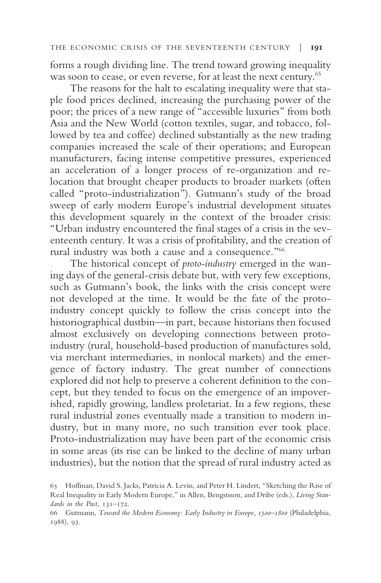forms a rough dividing line. The trend toward growing inequality was soon to cease, or even reverse, for at least the next century.<sup>65</sup>

The reasons for the halt to escalating inequality were that staple food prices declined, increasing the purchasing power of the poor; the prices of a new range of "accessible luxuries" from both Asia and the New World (cotton textiles, sugar, and tobacco, followed by tea and coffee) declined substantially as the new trading companies increased the scale of their operations; and European manufacturers, facing intense competitive pressures, experienced an acceleration of a longer process of re-organization and relocation that brought cheaper products to broader markets (often called "proto-industrialization"). Gutmann's study of the broad sweep of early modern Europe's industrial development situates this development squarely in the context of the broader crisis: "Urban industry encountered the final stages of a crisis in the seventeenth century. It was a crisis of profitability, and the creation of rural industry was both a cause and a consequence."<sup>66</sup>

The historical concept of *proto-industry* emerged in the waning days of the general-crisis debate but, with very few exceptions, such as Gutmann's book, the links with the crisis concept were not developed at the time. It would be the fate of the protoindustry concept quickly to follow the crisis concept into the historiographical dustbin—in part, because historians then focused almost exclusively on developing connections between protoindustry (rural, household-based production of manufactures sold, via merchant intermediaries, in nonlocal markets) and the emergence of factory industry. The great number of connections explored did not help to preserve a coherent definition to the concept, but they tended to focus on the emergence of an impoverished, rapidly growing, landless proletariat. In a few regions, these rural industrial zones eventually made a transition to modern industry, but in many more, no such transition ever took place. Proto-industrialization may have been part of the economic crisis in some areas (its rise can be linked to the decline of many urban industries), but the notion that the spread of rural industry acted as

<sup>65</sup> Hoffman, David S. Jacks, Patricia A. Levin, and Peter H. Lindert, "Sketching the Rise of Real Inequality in Early Modern Europe," in Allen, Bengstsson, and Dribe (eds.), *Living Standards in the Past,* 131–172.

<sup>66</sup> Gutmann, *Toward the Modern Economy: Early Industry in Europe, 1500–1800* (Philadelphia, 1988), 93.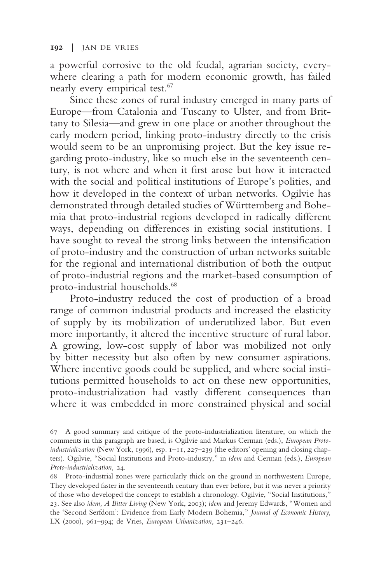a powerful corrosive to the old feudal, agrarian society, everywhere clearing a path for modern economic growth, has failed nearly every empirical test.<sup>67</sup>

Since these zones of rural industry emerged in many parts of Europe—from Catalonia and Tuscany to Ulster, and from Brittany to Silesia—and grew in one place or another throughout the early modern period, linking proto-industry directly to the crisis would seem to be an unpromising project. But the key issue regarding proto-industry, like so much else in the seventeenth century, is not where and when it first arose but how it interacted with the social and political institutions of Europe's polities, and how it developed in the context of urban networks. Ogilvie has demonstrated through detailed studies of Württemberg and Bohemia that proto-industrial regions developed in radically different ways, depending on differences in existing social institutions. I have sought to reveal the strong links between the intensification of proto-industry and the construction of urban networks suitable for the regional and international distribution of both the output of proto-industrial regions and the market-based consumption of proto-industrial households.<sup>68</sup>

Proto-industry reduced the cost of production of a broad range of common industrial products and increased the elasticity of supply by its mobilization of underutilized labor. But even more importantly, it altered the incentive structure of rural labor. A growing, low-cost supply of labor was mobilized not only by bitter necessity but also often by new consumer aspirations. Where incentive goods could be supplied, and where social institutions permitted households to act on these new opportunities, proto-industrialization had vastly different consequences than where it was embedded in more constrained physical and social

<sup>67</sup> A good summary and critique of the proto-industrialization literature, on which the comments in this paragraph are based, is Ogilvie and Markus Cerman (eds.), *European Protoindustrialization* (New York, 1996), esp. 1–11, 227–239 (the editors' opening and closing chapters). Ogilvie, "Social Institutions and Proto-industry," in *idem* and Cerman (eds.), *European Proto-industrialization,* 24.

<sup>68</sup> Proto-industrial zones were particularly thick on the ground in northwestern Europe, They developed faster in the seventeenth century than ever before, but it was never a priority of those who developed the concept to establish a chronology. Ogilvie, "Social Institutions," 23. See also *idem, A Bitter Living* (New York, 2003); *idem* and Jeremy Edwards, "Women and the 'Second Serfdom': Evidence from Early Modern Bohemia," *Journal of Economic History,* LX (2000), 961–994; de Vries, *European Urbanization,* 231–246.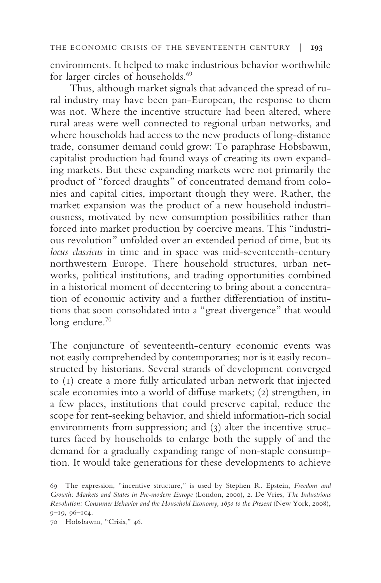environments. It helped to make industrious behavior worthwhile for larger circles of households.<sup>69</sup>

Thus, although market signals that advanced the spread of rural industry may have been pan-European, the response to them was not. Where the incentive structure had been altered, where rural areas were well connected to regional urban networks, and where households had access to the new products of long-distance trade, consumer demand could grow: To paraphrase Hobsbawm, capitalist production had found ways of creating its own expanding markets. But these expanding markets were not primarily the product of "forced draughts" of concentrated demand from colonies and capital cities, important though they were. Rather, the market expansion was the product of a new household industriousness, motivated by new consumption possibilities rather than forced into market production by coercive means. This "industrious revolution" unfolded over an extended period of time, but its *locus classicus* in time and in space was mid-seventeenth-century northwestern Europe. There household structures, urban networks, political institutions, and trading opportunities combined in a historical moment of decentering to bring about a concentration of economic activity and a further differentiation of institutions that soon consolidated into a "great divergence" that would long endure.<sup>70</sup>

The conjuncture of seventeenth-century economic events was not easily comprehended by contemporaries; nor is it easily reconstructed by historians. Several strands of development converged to (1) create a more fully articulated urban network that injected scale economies into a world of diffuse markets; (2) strengthen, in a few places, institutions that could preserve capital, reduce the scope for rent-seeking behavior, and shield information-rich social environments from suppression; and (3) alter the incentive structures faced by households to enlarge both the supply of and the demand for a gradually expanding range of non-staple consumption. It would take generations for these developments to achieve

70 Hobsbawm, "Crisis," 46.

<sup>69</sup> The expression, "incentive structure," is used by Stephen R. Epstein, *Freedom and Growth: Markets and States in Pre-modern Europe* (London, 2000), 2. De Vries, *The Industrious Revolution: Consumer Behavior and the Household Economy, 1650 to the Present* (New York, 2008), 9–19, 96–104.